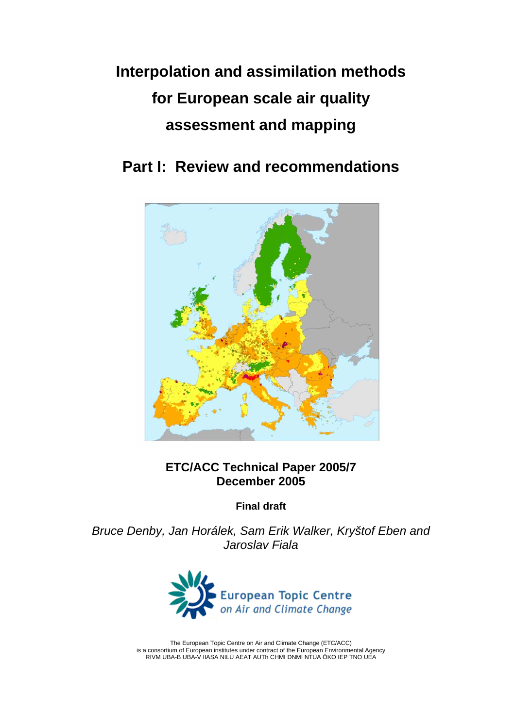# **Interpolation and assimilation methods for European scale air quality assessment and mapping**

**Part I: Review and recommendations** 



# **ETC/ACC Technical Paper 2005/7 December 2005**

**Final draft** 

*Bruce Denby, Jan Horálek, Sam Erik Walker, Kryštof Eben and Jaroslav Fiala* 



The European Topic Centre on Air and Climate Change (ETC/ACC) is a consortium of European institutes under contract of the European Environmental Agency RIVM UBA-B UBA-V IIASA NILU AEAT AUTh CHMI DNMI NTUA ÖKO IEP TNO UEA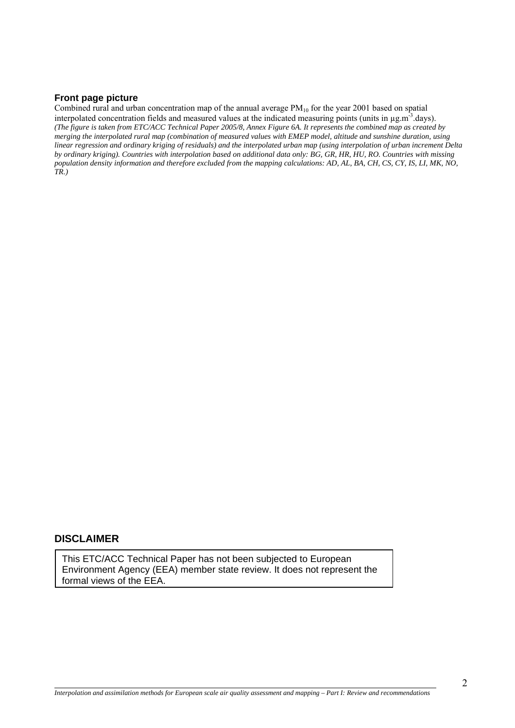#### **Front page picture**

Combined rural and urban concentration map of the annual average PM<sub>10</sub> for the year 2001 based on spatial interpolated concentration fields and measured values at the indicated measuring points (units in µg.m<sup>-3</sup>.days). *(The figure is taken from ETC/ACC Technical Paper 2005/8, Annex Figure 6A. It represents the combined map as created by merging the interpolated rural map (combination of measured values with EMEP model, altitude and sunshine duration, using linear regression and ordinary kriging of residuals) and the interpolated urban map (using interpolation of urban increment Delta by ordinary kriging). Countries with interpolation based on additional data only: BG, GR, HR, HU, RO. Countries with missing population density information and therefore excluded from the mapping calculations: AD, AL, BA, CH, CS, CY, IS, LI, MK, NO, TR.)*

#### **DISCLAIMER**

l

This ETC/ACC Technical Paper has not been subjected to European Environment Agency (EEA) member state review. It does not represent the formal views of the EEA.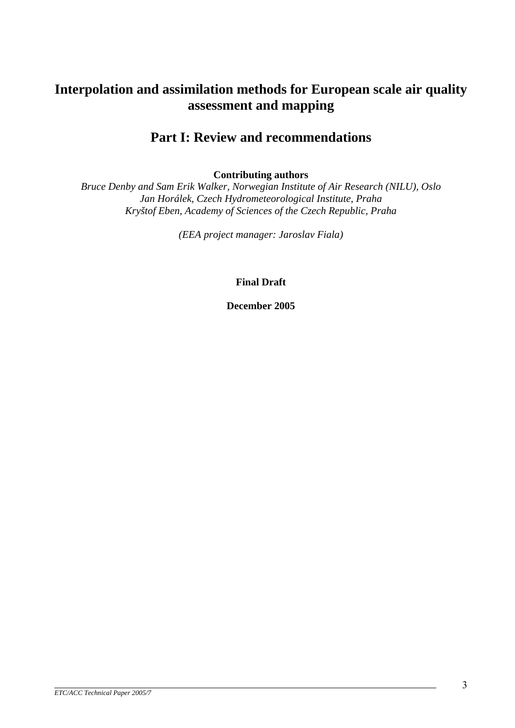# **Interpolation and assimilation methods for European scale air quality assessment and mapping**

# **Part I: Review and recommendations**

**Contributing authors** 

*Bruce Denby and Sam Erik Walker, Norwegian Institute of Air Research (NILU), Oslo Jan Horálek, Czech Hydrometeorological Institute, Praha Kryštof Eben, [Academy of Sciences of the Czech Republic](http://www.uea.ac.uk/env/appetise/participant_7.html), Praha* 

*(EEA project manager: Jaroslav Fiala)*

**Final Draft** 

**December 2005**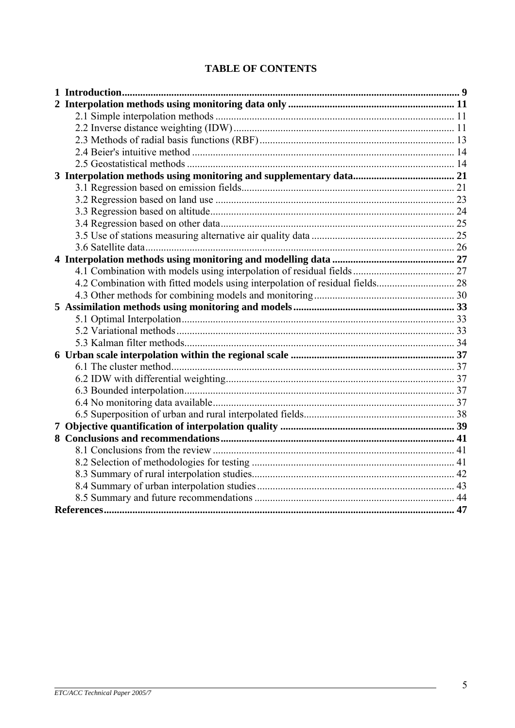# **TABLE OF CONTENTS**

| 4.2 Combination with fitted models using interpolation of residual fields 28 |  |
|------------------------------------------------------------------------------|--|
|                                                                              |  |
|                                                                              |  |
|                                                                              |  |
|                                                                              |  |
|                                                                              |  |
|                                                                              |  |
|                                                                              |  |
|                                                                              |  |
|                                                                              |  |
|                                                                              |  |
|                                                                              |  |
|                                                                              |  |
|                                                                              |  |
|                                                                              |  |
|                                                                              |  |
|                                                                              |  |
|                                                                              |  |
|                                                                              |  |
|                                                                              |  |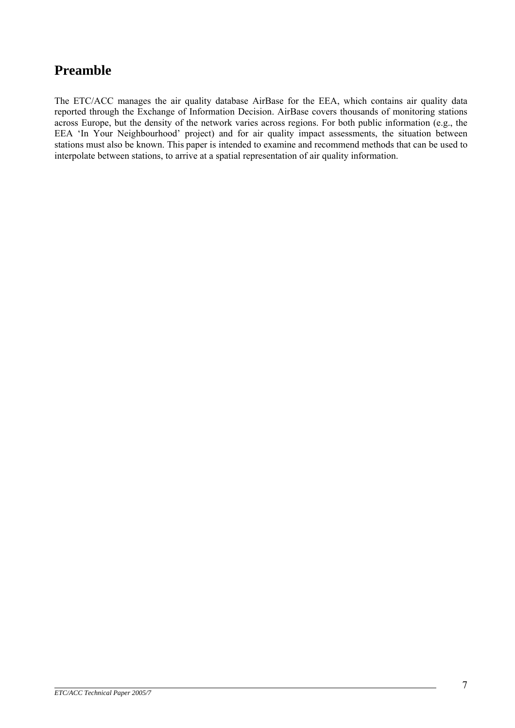# **Preamble**

The ETC/ACC manages the air quality database AirBase for the EEA, which contains air quality data reported through the Exchange of Information Decision. AirBase covers thousands of monitoring stations across Europe, but the density of the network varies across regions. For both public information (e.g., the EEA 'In Your Neighbourhood' project) and for air quality impact assessments, the situation between stations must also be known. This paper is intended to examine and recommend methods that can be used to interpolate between stations, to arrive at a spatial representation of air quality information.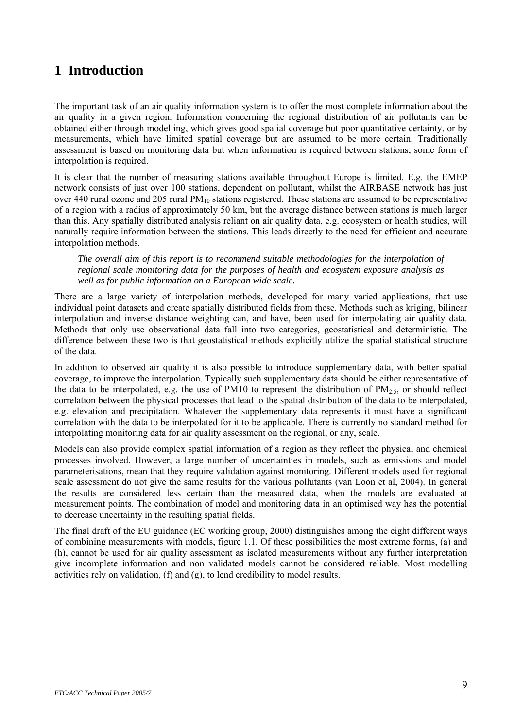# <span id="page-8-0"></span>**1 Introduction**

The important task of an air quality information system is to offer the most complete information about the air quality in a given region. Information concerning the regional distribution of air pollutants can be obtained either through modelling, which gives good spatial coverage but poor quantitative certainty, or by measurements, which have limited spatial coverage but are assumed to be more certain. Traditionally assessment is based on monitoring data but when information is required between stations, some form of interpolation is required.

It is clear that the number of measuring stations available throughout Europe is limited. E.g. the EMEP network consists of just over 100 stations, dependent on pollutant, whilst the AIRBASE network has just over 440 rural ozone and 205 rural  $PM_{10}$  stations registered. These stations are assumed to be representative of a region with a radius of approximately 50 km, but the average distance between stations is much larger than this. Any spatially distributed analysis reliant on air quality data, e.g. ecosystem or health studies, will naturally require information between the stations. This leads directly to the need for efficient and accurate interpolation methods.

*The overall aim of this report is to recommend suitable methodologies for the interpolation of regional scale monitoring data for the purposes of health and ecosystem exposure analysis as well as for public information on a European wide scale.* 

There are a large variety of interpolation methods, developed for many varied applications, that use individual point datasets and create spatially distributed fields from these. Methods such as kriging, bilinear interpolation and inverse distance weighting can, and have, been used for interpolating air quality data. Methods that only use observational data fall into two categories, geostatistical and deterministic. The difference between these two is that geostatistical methods explicitly utilize the spatial statistical structure of the data.

In addition to observed air quality it is also possible to introduce supplementary data, with better spatial coverage, to improve the interpolation. Typically such supplementary data should be either representative of the data to be interpolated, e.g. the use of PM10 to represent the distribution of  $PM_{2.5}$ , or should reflect correlation between the physical processes that lead to the spatial distribution of the data to be interpolated, e.g. elevation and precipitation. Whatever the supplementary data represents it must have a significant correlation with the data to be interpolated for it to be applicable. There is currently no standard method for interpolating monitoring data for air quality assessment on the regional, or any, scale.

Models can also provide complex spatial information of a region as they reflect the physical and chemical processes involved. However, a large number of uncertainties in models, such as emissions and model parameterisations, mean that they require validation against monitoring. Different models used for regional scale assessment do not give the same results for the various pollutants (van Loon et al, 2004). In general the results are considered less certain than the measured data, when the models are evaluated at measurement points. The combination of model and monitoring data in an optimised way has the potential to decrease uncertainty in the resulting spatial fields.

The final draft of the EU guidance (EC working group, 2000) distinguishes among the eight different ways of combining measurements with models, figure 1.1. Of these possibilities the most extreme forms, (a) and (h), cannot be used for air quality assessment as isolated measurements without any further interpretation give incomplete information and non validated models cannot be considered reliable. Most modelling activities rely on validation, (f) and (g), to lend credibility to model results.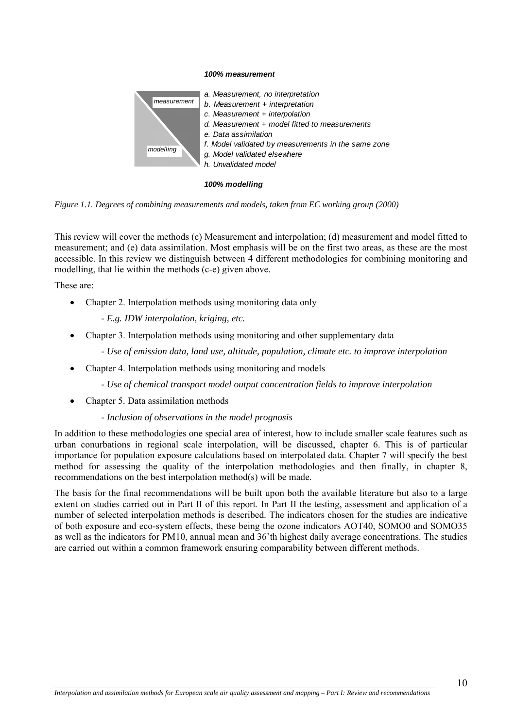#### *100% measurement*



#### *100% modelling*



This review will cover the methods (c) Measurement and interpolation; (d) measurement and model fitted to measurement; and (e) data assimilation. Most emphasis will be on the first two areas, as these are the most accessible. In this review we distinguish between 4 different methodologies for combining monitoring and modelling, that lie within the methods (c-e) given above.

These are:

l

- Chapter 2. Interpolation methods using monitoring data only
	- *E.g. IDW interpolation, kriging, etc.*
- Chapter 3. Interpolation methods using monitoring and other supplementary data
	- *Use of emission data, land use, altitude, population, climate etc. to improve interpolation*
- Chapter 4. Interpolation methods using monitoring and models
	- *Use of chemical transport model output concentration fields to improve interpolation*
- Chapter 5. Data assimilation methods

#### *- Inclusion of observations in the model prognosis*

In addition to these methodologies one special area of interest, how to include smaller scale features such as urban conurbations in regional scale interpolation, will be discussed, chapter 6. This is of particular importance for population exposure calculations based on interpolated data. Chapter 7 will specify the best method for assessing the quality of the interpolation methodologies and then finally, in chapter 8, recommendations on the best interpolation method(s) will be made.

The basis for the final recommendations will be built upon both the available literature but also to a large extent on studies carried out in Part II of this report. In Part II the testing, assessment and application of a number of selected interpolation methods is described. The indicators chosen for the studies are indicative of both exposure and eco-system effects, these being the ozone indicators AOT40, SOMO0 and SOMO35 as well as the indicators for PM10, annual mean and 36'th highest daily average concentrations. The studies are carried out within a common framework ensuring comparability between different methods.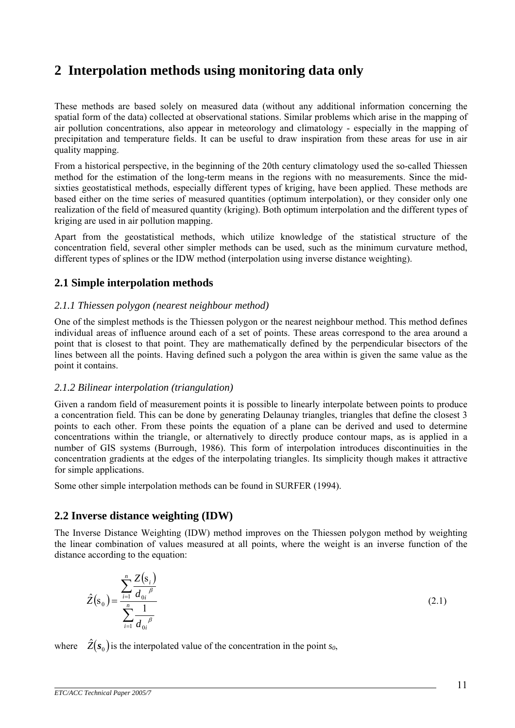# <span id="page-10-0"></span>**2 Interpolation methods using monitoring data only**

These methods are based solely on measured data (without any additional information concerning the spatial form of the data) collected at observational stations. Similar problems which arise in the mapping of air pollution concentrations, also appear in meteorology and climatology - especially in the mapping of precipitation and temperature fields. It can be useful to draw inspiration from these areas for use in air quality mapping.

From a historical perspective, in the beginning of the 20th century climatology used the so-called Thiessen method for the estimation of the long-term means in the regions with no measurements. Since the midsixties geostatistical methods, especially different types of kriging, have been applied. These methods are based either on the time series of measured quantities (optimum interpolation), or they consider only one realization of the field of measured quantity (kriging). Both optimum interpolation and the different types of kriging are used in air pollution mapping.

Apart from the geostatistical methods, which utilize knowledge of the statistical structure of the concentration field, several other simpler methods can be used, such as the minimum curvature method, different types of splines or the IDW method (interpolation using inverse distance weighting).

# **2.1 Simple interpolation methods**

### *2.1.1 Thiessen polygon (nearest neighbour method)*

One of the simplest methods is the Thiessen polygon or the nearest neighbour method. This method defines individual areas of influence around each of a set of points. These areas correspond to the area around a point that is closest to that point. They are mathematically defined by the perpendicular bisectors of the lines between all the points. Having defined such a polygon the area within is given the same value as the point it contains.

#### *2.1.2 Bilinear interpolation (triangulation)*

Given a random field of measurement points it is possible to linearly interpolate between points to produce a concentration field. This can be done by generating Delaunay triangles, triangles that define the closest 3 points to each other. From these points the equation of a plane can be derived and used to determine concentrations within the triangle, or alternatively to directly produce contour maps, as is applied in a number of GIS systems (Burrough, 1986). This form of interpolation introduces discontinuities in the concentration gradients at the edges of the interpolating triangles. Its simplicity though makes it attractive for simple applications.

Some other simple interpolation methods can be found in SURFER (1994).

# **2.2 Inverse distance weighting (IDW)**

The Inverse Distance Weighting (IDW) method improves on the Thiessen polygon method by weighting the linear combination of values measured at all points, where the weight is an inverse function of the distance according to the equation:

$$
\hat{Z}(s_0) = \frac{\sum_{i=1}^{n} \frac{Z(s_i)}{d_{0i}}}{\sum_{i=1}^{n} \frac{1}{d_{0i}}}
$$
\n(2.1)

where  $\hat{Z}(s_0)$  is the interpolated value of the concentration in the point  $s_0$ ,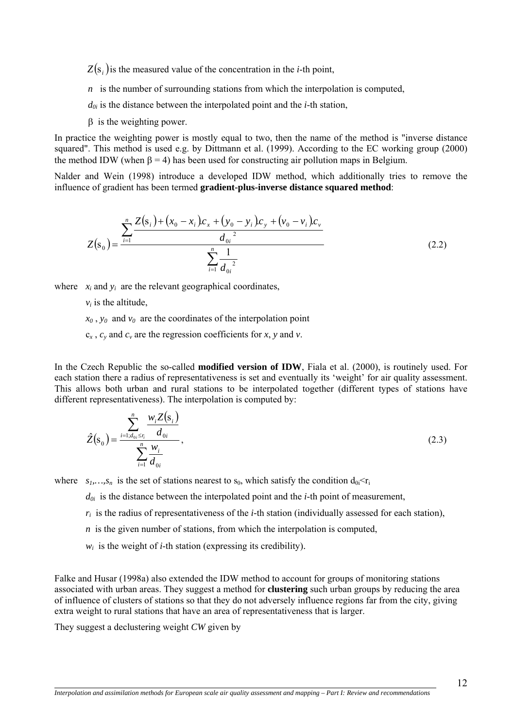$Z(s_i)$  is the measured value of the concentration in the *i*-th point,

 *n* is the number of surrounding stations from which the interpolation is computed,

 $d_{0i}$  is the distance between the interpolated point and the *i*-th station,

β is the weighting power.

In practice the weighting power is mostly equal to two, then the name of the method is "inverse distance squared". This method is used e.g. by Dittmann et al. (1999). According to the EC working group (2000) the method IDW (when  $\beta = 4$ ) has been used for constructing air pollution maps in Belgium.

Nalder and Wein (1998) introduce a developed IDW method, which additionally tries to remove the influence of gradient has been termed **gradient-plus-inverse distance squared method**:

$$
Z(s_0) = \frac{\sum_{i=1}^{n} \frac{Z(s_i) + (x_0 - x_i)c_x + (y_0 - y_i)c_y + (v_0 - v_i)c_v}{d_{0i}^2}}{\sum_{i=1}^{n} \frac{1}{d_{0i}^2}}
$$
(2.2)

where  $x_i$  and  $y_i$  are the relevant geographical coordinates,

 $v_i$  is the altitude,

 $x_0$ ,  $y_0$  and  $y_0$  are the coordinates of the interpolation point

 $c_x$ ,  $c_y$  and  $c_y$  are the regression coefficients for *x*, *y* and *v*.

In the Czech Republic the so-called **modified version of IDW**, Fiala et al. (2000), is routinely used. For each station there a radius of representativeness is set and eventually its 'weight' for air quality assessment. This allows both urban and rural stations to be interpolated together (different types of stations have different representativeness). The interpolation is computed by:

$$
\hat{Z}(s_0) = \frac{\sum_{i=1:d_{0i} \le r_i}^{n} \frac{w_i Z(s_i)}{d_{0i}}}{\sum_{i=1}^{n} \frac{w_i}{d_{0i}}},
$$
\n(2.3)

where  $s_1, \ldots, s_n$  is the set of stations nearest to  $s_0$ , which satisfy the condition  $d_{0i} < r_i$ 

 $d_{0i}$  is the distance between the interpolated point and the *i*-th point of measurement,

- $r_i$  is the radius of representativeness of the *i*-th station (individually assessed for each station),
- *n* is the given number of stations, from which the interpolation is computed,
- $w_i$  is the weight of *i*-th station (expressing its credibility).

Falke and Husar (1998a) also extended the IDW method to account for groups of monitoring stations associated with urban areas. They suggest a method for **clustering** such urban groups by reducing the area of influence of clusters of stations so that they do not adversely influence regions far from the city, giving extra weight to rural stations that have an area of representativeness that is larger.

They suggest a declustering weight *CW* given by

l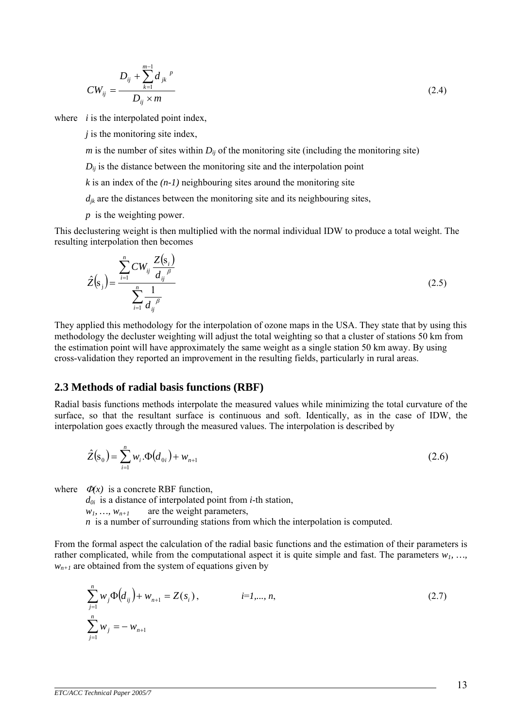<span id="page-12-0"></span>
$$
CW_{ij} = \frac{D_{ij} + \sum_{k=1}^{m-1} d_{jk}^{p}}{D_{ij} \times m}
$$
 (2.4)

where *i* is the interpolated point index,

*j* is the monitoring site index,

*m* is the number of sites within  $D_{ij}$  of the monitoring site (including the monitoring site)

 $D_{ii}$  is the distance between the monitoring site and the interpolation point

 $k$  is an index of the  $(n-1)$  neighbouring sites around the monitoring site

 $d_{ik}$  are the distances between the monitoring site and its neighbouring sites,

*p* is the weighting power.

This declustering weight is then multiplied with the normal individual IDW to produce a total weight. The resulting interpolation then becomes

$$
\hat{Z}(s_j) = \frac{\sum_{i=1}^{n} CW_{ij} \frac{Z(s_i)}{d_{ij}^{\beta}}}{\sum_{i=1}^{n} \frac{1}{d_{ij}^{\beta}}}
$$
\n(2.5)

They applied this methodology for the interpolation of ozone maps in the USA. They state that by using this methodology the decluster weighting will adjust the total weighting so that a cluster of stations 50 km from the estimation point will have approximately the same weight as a single station 50 km away. By using cross-validation they reported an improvement in the resulting fields, particularly in rural areas.

#### **2.3 Methods of radial basis functions (RBF)**

Radial basis functions methods interpolate the measured values while minimizing the total curvature of the surface, so that the resultant surface is continuous and soft. Identically, as in the case of IDW, the interpolation goes exactly through the measured values. The interpolation is described by

$$
\hat{Z}(s_0) = \sum_{i=1}^{n} w_i \cdot \Phi(d_{0i}) + w_{n+1}
$$
\n(2.6)

where  $\Phi(x)$  is a concrete RBF function.

*d0i* is a distance of interpolated point from *i*-th station,

 $w_1, \ldots, w_{n+1}$  are the weight parameters,

*n* is a number of surrounding stations from which the interpolation is computed.

From the formal aspect the calculation of the radial basic functions and the estimation of their parameters is rather complicated, while from the computational aspect it is quite simple and fast. The parameters  $w_1$ , ...  $w_{n+1}$  are obtained from the system of equations given by

$$
\sum_{j=1}^{n} w_j \Phi(d_{ij}) + w_{n+1} = Z(s_i), \qquad i=1,\dots,n,
$$
\n
$$
\sum_{j=1}^{n} w_j = -w_{n+1}
$$
\n(2.7)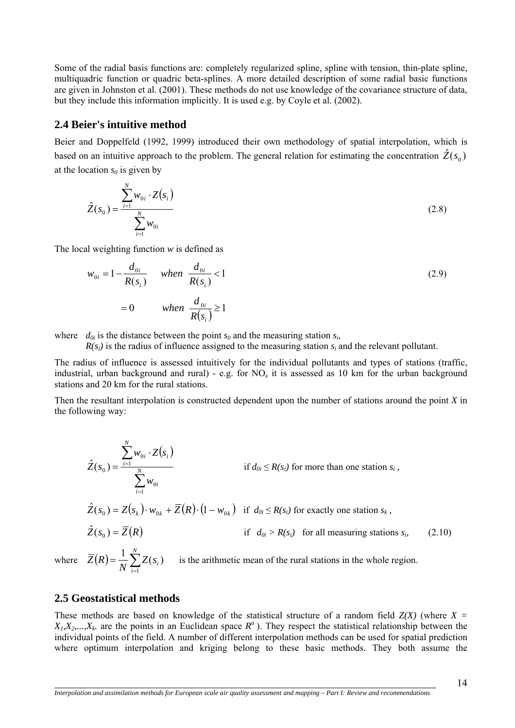<span id="page-13-0"></span>Some of the radial basis functions are: completely regularized spline, spline with tension, thin-plate spline, multiquadric function or quadric beta-splines. A more detailed description of some radial basic functions are given in Johnston et al. (2001). These methods do not use knowledge of the covariance structure of data, but they include this information implicitly. It is used e.g. by Coyle et al. (2002).

# **2.4 Beier's intuitive method**

Beier and Doppelfeld (1992, 1999) introduced their own methodology of spatial interpolation, which is based on an intuitive approach to the problem. The general relation for estimating the concentration  $\hat{Z}(s_0)$ at the location  $s_0$  is given by

$$
\hat{Z}(s_0) = \frac{\sum_{i=1}^{N} w_{0i} \cdot Z(s_i)}{\sum_{i=1}^{N} w_{0i}}
$$
\n(2.8)

The local weighting function *w* is defined as

$$
w_{0i} = 1 - \frac{d_{0i}}{R(s_i)} \quad when \quad \frac{d_{0i}}{R(s_i)} < 1
$$
  
= 0 \quad when \quad \frac{d\_{0i}}{R(s\_i)} \ge 1

where  $d_{0i}$  is the distance between the point  $s_0$  and the measuring station  $s_i$ ,

 $R(s_i)$  is the radius of influence assigned to the measuring station  $s_i$  and the relevant pollutant.

The radius of influence is assessed intuitively for the individual pollutants and types of stations (traffic, industrial, urban background and rural) - e.g. for NO*x* it is assessed as 10 km for the urban background stations and 20 km for the rural stations.

Then the resultant interpolation is constructed dependent upon the number of stations around the point *X* in the following way:

$$
\hat{Z}(s_0) = \frac{\sum_{i=1}^{N} w_{0i} \cdot Z(s_i)}{\sum_{i=1}^{N} w_{0i}} \quad \text{if } d_{0i} \le R(s_i) \text{ for more than one station } s_i,
$$
\n
$$
\hat{Z}(s_0) = Z(s_k) \cdot w_{0k} + \overline{Z}(R) \cdot (1 - w_{0k}) \quad \text{if } d_{0i} \le R(s_i) \text{ for exactly one station } s_k,
$$
\n
$$
\hat{Z}(s_0) = \overline{Z}(R) \quad \text{if } d_{0i} > R(s_i) \text{ for all measuring stations } s_i,
$$
\n
$$
\overline{Z}(R) = \frac{1}{N} \sum_{i=1}^{N} Z(s_i) \quad \text{is the arithmetic mean of the rural stations in the whole region.}
$$
\n(2.10)

 $\overline{a}$ 

 $N \frac{2}{i}$  $Z(s_i)$ 1  $\frac{1}{N} \sum_{i=1}^{N} Z(s_i)$ the rural stations in the whole region.

# **2.5 Geostatistical methods**

These methods are based on knowledge of the statistical structure of a random field *Z(X)* (where *X =*  $X_1, X_2, \ldots, X_k$  are the points in an Euclidean space  $R^a$ ). They respect the statistical relationship between the individual points of the field. A number of different interpolation methods can be used for spatial prediction where optimum interpolation and kriging belong to these basic methods. They both assume the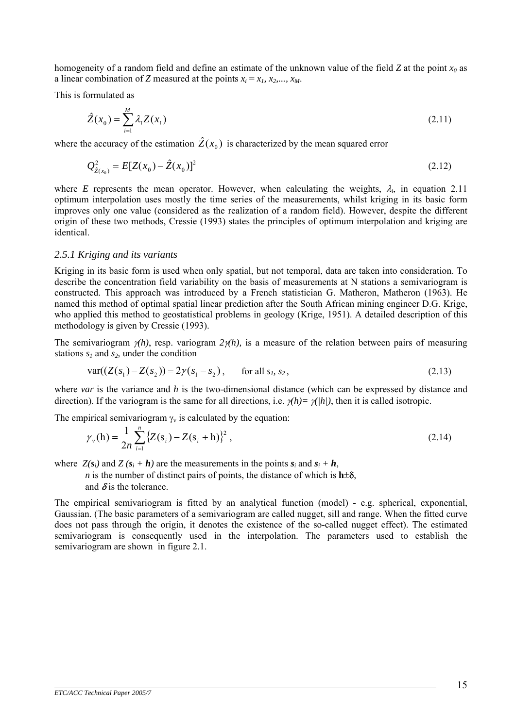homogeneity of a random field and define an estimate of the unknown value of the field *Z* at the point *x0* as a linear combination of *Z* measured at the points  $x_i = x_i$ ,  $x_2, \ldots, x_M$ .

This is formulated as

$$
\hat{Z}(x_0) = \sum_{i=1}^{M} \lambda_i Z(x_i)
$$
\n(2.11)

where the accuracy of the estimation  $\hat{Z}(x_0)$  is characterized by the mean squared error

$$
Q_{\hat{Z}(x_0)}^2 = E[Z(x_0) - \hat{Z}(x_0)]^2
$$
\n(2.12)

where *E* represents the mean operator. However, when calculating the weights,  $\lambda_i$ , in equation 2.11 optimum interpolation uses mostly the time series of the measurements, whilst kriging in its basic form improves only one value (considered as the realization of a random field). However, despite the different origin of these two methods, Cressie (1993) states the principles of optimum interpolation and kriging are identical.

#### *2.5.1 Kriging and its variants*

Kriging in its basic form is used when only spatial, but not temporal, data are taken into consideration. To describe the concentration field variability on the basis of measurements at N stations a semivariogram is constructed. This approach was introduced by a French statistician G. Matheron, Matheron (1963). He named this method of optimal spatial linear prediction after the South African mining engineer D.G. Krige, who applied this method to geostatistical problems in geology (Krige, 1951). A detailed description of this methodology is given by Cressie (1993).

The semivariogram  $\gamma(h)$ , resp. variogram  $2\gamma(h)$ , is a measure of the relation between pairs of measuring stations  $s_1$  and  $s_2$ , under the condition

$$
var((Z(s_1) - Z(s_2)) = 2\gamma(s_1 - s_2), \quad \text{for all } s_1, s_2,
$$
\n(2.13)

where *var* is the variance and *h* is the two-dimensional distance (which can be expressed by distance and direction). If the variogram is the same for all directions, i.e.  $\gamma(h) = \gamma(h)$ , then it is called isotropic.

The empirical semivariogram  $\gamma_{v}$  is calculated by the equation:

$$
\gamma_{v}(h) = \frac{1}{2n} \sum_{i=1}^{n} \left\{ Z(s_i) - Z(s_i + h) \right\}^2,
$$
\n(2.14)

where  $Z(s_i)$  and  $Z(s_i + h)$  are the measurements in the points  $s_i$  and  $s_i + h$ ,

*n* is the number of distinct pairs of points, the distance of which is  $h\pm\delta$ , and  $\delta$  is the tolerance.

The empirical semivariogram is fitted by an analytical function (model) - e.g. spherical, exponential, Gaussian. (The basic parameters of a semivariogram are called nugget, sill and range. When the fitted curve does not pass through the origin, it denotes the existence of the so-called nugget effect). The estimated semivariogram is consequently used in the interpolation. The parameters used to establish the semivariogram are shown in figure 2.1.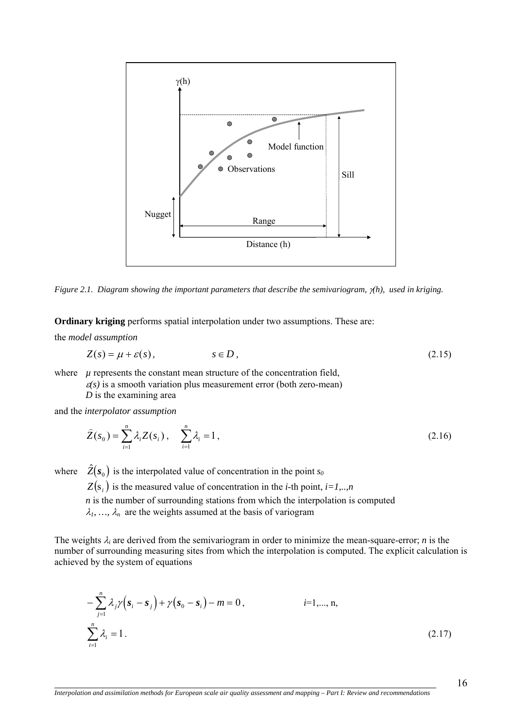

*Figure 2.1. Diagram showing the important parameters that describe the semivariogram,* <sup>γ</sup>*(h), used in kriging.*

**Ordinary kriging** performs spatial interpolation under two assumptions. These are:

the *model assumption* 

 $\overline{a}$ 

$$
Z(s) = \mu + \varepsilon(s), \qquad s \in D, \tag{2.15}
$$

where  $\mu$  represents the constant mean structure of the concentration field,

 $\varepsilon(s)$  is a smooth variation plus measurement error (both zero-mean)

*D* is the examining area

and the *interpolator assumption* 

$$
\hat{Z}(s_0) = \sum_{i=1}^{n} \lambda_i Z(s_i), \quad \sum_{i=1}^{n} \lambda_i = 1,
$$
\n(2.16)

where  $\hat{Z}(s_0)$  is the interpolated value of concentration in the point  $s_0$ 

 $Z(s_i)$  is the measured value of concentration in the *i*-th point, *i*=1,..,*n* 

*n* is the number of surrounding stations from which the interpolation is computed

 $\lambda_1, \ldots, \lambda_n$  are the weights assumed at the basis of variogram

The weights  $\lambda_i$  are derived from the semivariogram in order to minimize the mean-square-error; *n* is the number of surrounding measuring sites from which the interpolation is computed. The explicit calculation is achieved by the system of equations

$$
-\sum_{j=1}^{n} \lambda_j \gamma (s_i - s_j) + \gamma (s_0 - s_i) - m = 0, \qquad i=1,..., n,
$$
  

$$
\sum_{i=1}^{n} \lambda_i = 1.
$$
 (2.17)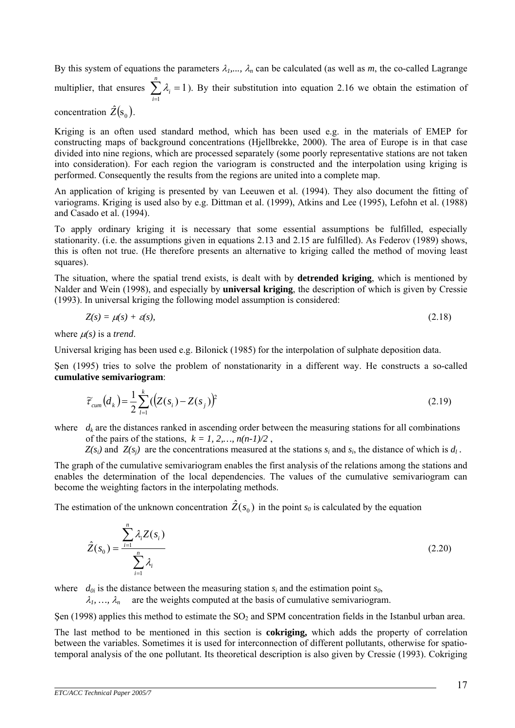By this system of equations the parameters  $\lambda_1, \ldots, \lambda_n$  can be calculated (as well as *m*, the co-called Lagrange multiplier, that ensures  $\sum \lambda_i = 1$ ). By their substitution into equation 2.16 we obtain the estimation of *i n* =  $\sum_{i=1}$   $\lambda_i = 1$ 

concentration  $\hat{Z}(s_0)$ .

Kriging is an often used standard method, which has been used e.g. in the materials of EMEP for constructing maps of background concentrations (Hjellbrekke, 2000). The area of Europe is in that case divided into nine regions, which are processed separately (some poorly representative stations are not taken into consideration). For each region the variogram is constructed and the interpolation using kriging is performed. Consequently the results from the regions are united into a complete map.

An application of kriging is presented by van Leeuwen et al. (1994). They also document the fitting of variograms. Kriging is used also by e.g. Dittman et al. (1999), Atkins and Lee (1995), Lefohn et al. (1988) and Casado et al. (1994).

To apply ordinary kriging it is necessary that some essential assumptions be fulfilled, especially stationarity. (i.e. the assumptions given in equations 2.13 and 2.15 are fulfilled). As Federov (1989) shows, this is often not true. (He therefore presents an alternative to kriging called the method of moving least squares).

The situation, where the spatial trend exists, is dealt with by **detrended kriging**, which is mentioned by Nalder and Wein (1998), and especially by **universal kriging**, the description of which is given by Cressie (1993). In universal kriging the following model assumption is considered:

$$
Z(s) = \mu(s) + \varepsilon(s),\tag{2.18}
$$

where  $\mu(s)$  is a *trend*.

Universal kriging has been used e.g. Bilonick (1985) for the interpolation of sulphate deposition data.

Şen (1995) tries to solve the problem of nonstationarity in a different way. He constructs a so-called **cumulative semivariogram**:

$$
\widetilde{\tau}_{cum}(d_k) = \frac{1}{2} \sum_{i=1}^{k} ((Z(s_i) - Z(s_j))^2
$$
\n(2.19)

where  $d_k$  are the distances ranked in ascending order between the measuring stations for all combinations of the pairs of the stations,  $k = 1, 2, \ldots, n(n-1)/2$ ,

 $Z(s_i)$  and  $Z(s_i)$  are the concentrations measured at the stations  $s_i$  and  $s_i$ , the distance of which is  $d_i$ .

The graph of the cumulative semivariogram enables the first analysis of the relations among the stations and enables the determination of the local dependencies. The values of the cumulative semivariogram can become the weighting factors in the interpolating methods.

The estimation of the unknown concentration  $\hat{Z}(s_0)$  in the point  $s_0$  is calculated by the equation

$$
\hat{Z}(s_0) = \frac{\sum_{i=1}^{n} \lambda_i Z(s_i)}{\sum_{i=1}^{n} \lambda_i}
$$
\n(2.20)

where  $d_{0i}$  is the distance between the measuring station  $s_i$  and the estimation point  $s_0$ ,

 $\lambda_1, \ldots, \lambda_n$  are the weights computed at the basis of cumulative semivariogram.

Sen (1998) applies this method to estimate the  $SO<sub>2</sub>$  and SPM concentration fields in the Istanbul urban area.

The last method to be mentioned in this section is **cokriging,** which adds the property of correlation between the variables. Sometimes it is used for interconnection of different pollutants, otherwise for spatiotemporal analysis of the one pollutant. Its theoretical description is also given by Cressie (1993). Cokriging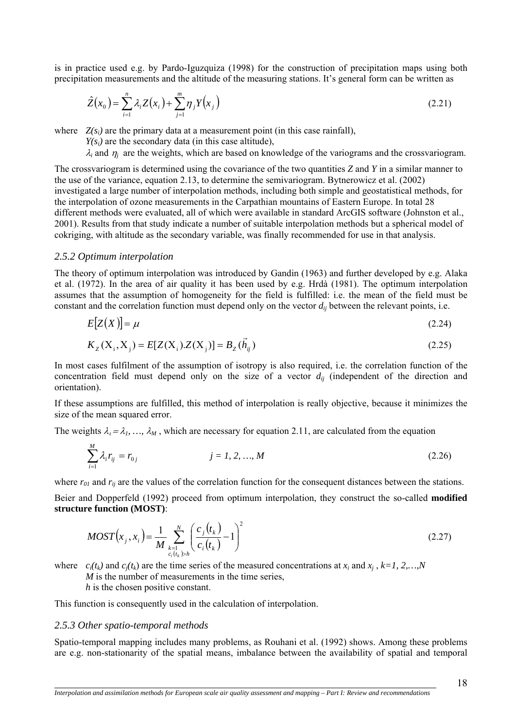is in practice used e.g. by Pardo-Iguzquiza (1998) for the construction of precipitation maps using both precipitation measurements and the altitude of the measuring stations. It's general form can be written as

$$
\hat{Z}(x_0) = \sum_{i=1}^n \lambda_i Z(x_i) + \sum_{j=1}^m \eta_j Y(x_j)
$$
\n(2.21)

where  $Z(s_i)$  are the primary data at a measurement point (in this case rainfall),

 $Y(s_i)$  are the secondary data (in this case altitude),

 $\lambda_i$  and  $\eta_i$  are the weights, which are based on knowledge of the variograms and the crossvariogram.

The crossvariogram is determined using the covariance of the two quantities *Z* and *Y* in a similar manner to the use of the variance, equation 2.13, to determine the semivariogram. Bytnerowicz et al. (2002) investigated a large number of interpolation methods, including both simple and geostatistical methods, for the interpolation of ozone measurements in the Carpathian mountains of Eastern Europe. In total 28 different methods were evaluated, all of which were available in standard ArcGIS software (Johnston et al., 2001). Results from that study indicate a number of suitable interpolation methods but a spherical model of cokriging, with altitude as the secondary variable, was finally recommended for use in that analysis.

#### *2.5.2 Optimum interpolation*

The theory of optimum interpolation was introduced by Gandin (1963) and further developed by e.g. Alaka et al. (1972). In the area of air quality it has been used by e.g. Hrdà (1981). The optimum interpolation assumes that the assumption of homogeneity for the field is fulfilled: i.e. the mean of the field must be constant and the correlation function must depend only on the vector *dij* between the relevant points, i.e.

$$
E[Z(X)] = \mu \tag{2.24}
$$

$$
K_Z(X_i, X_j) = E[Z(X_i).Z(X_j)] = B_Z(\vec{h}_{ij})
$$
\n(2.25)

In most cases fulfilment of the assumption of isotropy is also required, i.e. the correlation function of the concentration field must depend only on the size of a vector  $d_{ij}$  (independent of the direction and orientation).

If these assumptions are fulfilled, this method of interpolation is really objective, because it minimizes the size of the mean squared error.

The weights  $\lambda_i = \lambda_i, \dots, \lambda_M$ , which are necessary for equation 2.11, are calculated from the equation

$$
\sum_{i=1}^{M} \lambda_i r_{ij} = r_{0j} \qquad j = 1, 2, ..., M \qquad (2.26)
$$

where  $r_{01}$  and  $r_{ij}$  are the values of the correlation function for the consequent distances between the stations.

Beier and Dopperfeld (1992) proceed from optimum interpolation, they construct the so-called **modified structure function (MOST)**:

$$
MOST(x_j, x_i) = \frac{1}{M} \sum_{\substack{k=1 \\ c_i(t_k) > h}}^N \left( \frac{c_j(t_k)}{c_i(t_k)} - 1 \right)^2
$$
\n(2.27)

where  $c_i(t_k)$  and  $c_j(t_k)$  are the time series of the measured concentrations at  $x_i$  and  $x_j$ ,  $k=1, 2,...,N$ 

*M* is the number of measurements in the time series,

*h* is the chosen positive constant.

This function is consequently used in the calculation of interpolation.

#### *2.5.3 Other spatio-temporal methods*

 $\overline{a}$ 

Spatio-temporal mapping includes many problems, as Rouhani et al. (1992) shows. Among these problems are e.g. non-stationarity of the spatial means, imbalance between the availability of spatial and temporal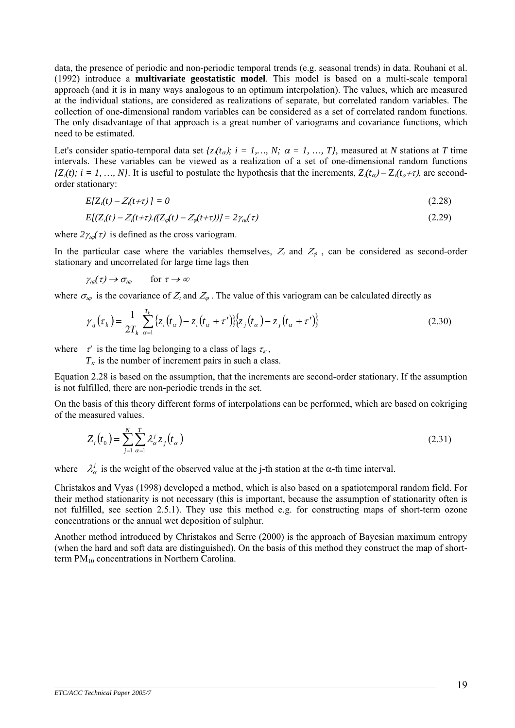data, the presence of periodic and non-periodic temporal trends (e.g. seasonal trends) in data. Rouhani et al. (1992) introduce a **multivariate geostatistic model**. This model is based on a multi-scale temporal approach (and it is in many ways analogous to an optimum interpolation). The values, which are measured at the individual stations, are considered as realizations of separate, but correlated random variables. The collection of one-dimensional random variables can be considered as a set of correlated random functions. The only disadvantage of that approach is a great number of variograms and covariance functions, which need to be estimated.

Let's consider spatio-temporal data set  $\{z_i(t_\alpha); i = 1, ..., N; \alpha = 1, ..., T\}$ , measured at *N* stations at *T* time intervals. These variables can be viewed as a realization of a set of one-dimensional random functions *{Z<sub>i</sub>*(*t*)*; i* = *1, ..., N}*. It is useful to postulate the hypothesis that the increments,  $Z_i(t_\alpha) - Z_i(t_\alpha + \tau)$ , are secondorder stationary:

$$
E[Z_i(t) - Z_i(t+\tau)] = 0 \tag{2.28}
$$

$$
E[(Zt(t) - Zt(t+\tau).((Z\varphi(t) - Z\varphi(t+\tau))] = 2\gammat\varphi(\tau)
$$
\n(2.29)

where  $2\gamma_{\text{tot}}(\tau)$  is defined as the cross variogram.

In the particular case where the variables themselves,  $Z_i$  and  $Z_\varphi$ , can be considered as second-order stationary and uncorrelated for large time lags then

$$
\gamma_{\iota\varphi}(\tau) \to \sigma_{\iota\varphi} \qquad \text{for } \tau \to \infty
$$

where  $\sigma_{\iota\varphi}$  is the covariance of  $Z_i$  and  $Z_{\varphi}$ . The value of this variogram can be calculated directly as

$$
\gamma_{ij}(\tau_k) = \frac{1}{2T_k} \sum_{\alpha=1}^{T_k} \{z_i(t_\alpha) - z_i(t_\alpha + \tau')\} \{z_j(t_\alpha) - z_j(t_\alpha + \tau')\}
$$
(2.30)

where  $\tau'$  is the time lag belonging to a class of lags  $\tau_{\kappa}$ ,

 $T_k$  is the number of increment pairs in such a class.

Equation 2.28 is based on the assumption, that the increments are second-order stationary. If the assumption is not fulfilled, there are non-periodic trends in the set.

On the basis of this theory different forms of interpolations can be performed, which are based on cokriging of the measured values.

$$
Z_i(t_0) = \sum_{j=1}^{N} \sum_{\alpha=1}^{T} \lambda_{\alpha}^{j} z_j(t_{\alpha})
$$
\n(2.31)

where  $\lambda^j_\alpha$  is the weight of the observed value at the j-th station at the  $\alpha$ -th time interval.

Christakos and Vyas (1998) developed a method, which is also based on a spatiotemporal random field. For their method stationarity is not necessary (this is important, because the assumption of stationarity often is not fulfilled, see section 2.5.1). They use this method e.g. for constructing maps of short-term ozone concentrations or the annual wet deposition of sulphur.

Another method introduced by Christakos and Serre (2000) is the approach of Bayesian maximum entropy (when the hard and soft data are distinguished). On the basis of this method they construct the map of shortterm PM<sub>10</sub> concentrations in Northern Carolina.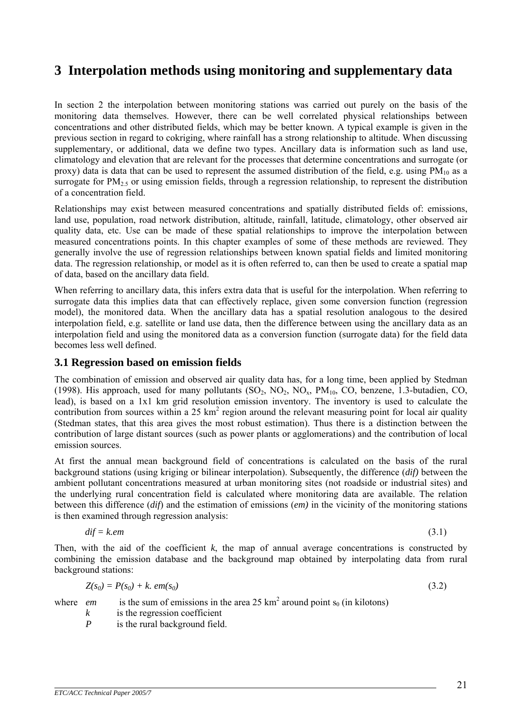# <span id="page-20-0"></span>**3 Interpolation methods using monitoring and supplementary data**

In section 2 the interpolation between monitoring stations was carried out purely on the basis of the monitoring data themselves. However, there can be well correlated physical relationships between concentrations and other distributed fields, which may be better known. A typical example is given in the previous section in regard to cokriging, where rainfall has a strong relationship to altitude. When discussing supplementary, or additional, data we define two types. Ancillary data is information such as land use, climatology and elevation that are relevant for the processes that determine concentrations and surrogate (or proxy) data is data that can be used to represent the assumed distribution of the field, e.g. using  $PM_{10}$  as a surrogate for  $PM<sub>2.5</sub>$  or using emission fields, through a regression relationship, to represent the distribution of a concentration field.

Relationships may exist between measured concentrations and spatially distributed fields of: emissions, land use, population, road network distribution, altitude, rainfall, latitude, climatology, other observed air quality data, etc. Use can be made of these spatial relationships to improve the interpolation between measured concentrations points. In this chapter examples of some of these methods are reviewed. They generally involve the use of regression relationships between known spatial fields and limited monitoring data. The regression relationship, or model as it is often referred to, can then be used to create a spatial map of data, based on the ancillary data field.

When referring to ancillary data, this infers extra data that is useful for the interpolation. When referring to surrogate data this implies data that can effectively replace, given some conversion function (regression model), the monitored data. When the ancillary data has a spatial resolution analogous to the desired interpolation field, e.g. satellite or land use data, then the difference between using the ancillary data as an interpolation field and using the monitored data as a conversion function (surrogate data) for the field data becomes less well defined.

# **3.1 Regression based on emission fields**

The combination of emission and observed air quality data has, for a long time, been applied by Stedman (1998). His approach, used for many pollutants  $(SO_2, NO_2, NO_x, PM_{10}, CO$ , benzene, 1.3-butadien, CO, lead), is based on a 1x1 km grid resolution emission inventory. The inventory is used to calculate the contribution from sources within a  $25 \text{ km}^2$  region around the relevant measuring point for local air quality (Stedman states, that this area gives the most robust estimation). Thus there is a distinction between the contribution of large distant sources (such as power plants or agglomerations) and the contribution of local emission sources.

At first the annual mean background field of concentrations is calculated on the basis of the rural background stations (using kriging or bilinear interpolation). Subsequently, the difference (*dif)* between the ambient pollutant concentrations measured at urban monitoring sites (not roadside or industrial sites) and the underlying rural concentration field is calculated where monitoring data are available. The relation between this difference (*dif*) and the estimation of emissions (*em)* in the vicinity of the monitoring stations is then examined through regression analysis:

$$
dif = k.em \tag{3.1}
$$

Then, with the aid of the coefficient  $k$ , the map of annual average concentrations is constructed by combining the emission database and the background map obtained by interpolating data from rural background stations:

$$
Z(s_0) = P(s_0) + k.\,em(s_0) \tag{3.2}
$$

where *em* is the sum of emissions in the area 25 km<sup>2</sup> around point  $s_0$  (in kilotons)

- *k* is the regression coefficient
- *P* is the rural background field.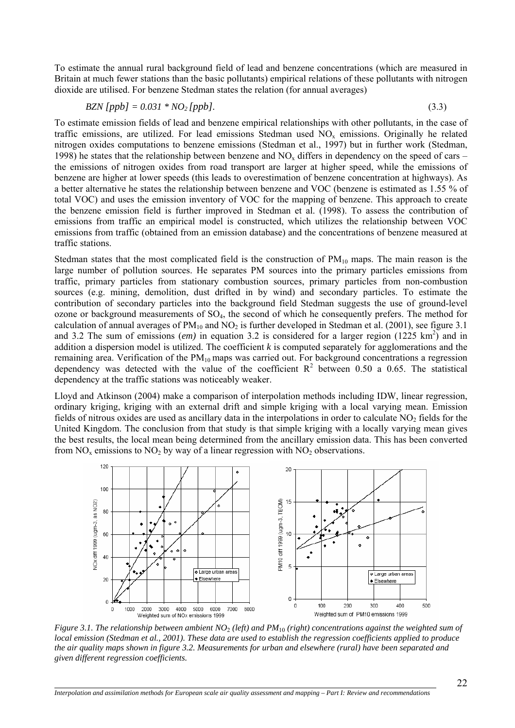To estimate the annual rural background field of lead and benzene concentrations (which are measured in Britain at much fewer stations than the basic pollutants) empirical relations of these pollutants with nitrogen dioxide are utilised. For benzene Stedman states the relation (for annual averages)

$$
BZN [ppb] = 0.031 * NO2 [ppb]. \tag{3.3}
$$

To estimate emission fields of lead and benzene empirical relationships with other pollutants, in the case of traffic emissions, are utilized. For lead emissions Stedman used  $NO<sub>x</sub>$  emissions. Originally he related nitrogen oxides computations to benzene emissions (Stedman et al., 1997) but in further work (Stedman, 1998) he states that the relationship between benzene and  $NO<sub>x</sub>$  differs in dependency on the speed of cars – the emissions of nitrogen oxides from road transport are larger at higher speed, while the emissions of benzene are higher at lower speeds (this leads to overestimation of benzene concentration at highways). As a better alternative he states the relationship between benzene and VOC (benzene is estimated as 1.55 % of total VOC) and uses the emission inventory of VOC for the mapping of benzene. This approach to create the benzene emission field is further improved in Stedman et al. (1998). To assess the contribution of emissions from traffic an empirical model is constructed, which utilizes the relationship between VOC emissions from traffic (obtained from an emission database) and the concentrations of benzene measured at traffic stations.

Stedman states that the most complicated field is the construction of  $PM_{10}$  maps. The main reason is the large number of pollution sources. He separates PM sources into the primary particles emissions from traffic, primary particles from stationary combustion sources, primary particles from non-combustion sources (e.g. mining, demolition, dust drifted in by wind) and secondary particles. To estimate the contribution of secondary particles into the background field Stedman suggests the use of ground-level ozone or background measurements of SO4, the second of which he consequently prefers. The method for calculation of annual averages of  $PM_{10}$  and  $NO<sub>2</sub>$  is further developed in Stedman et al. (2001), see figure 3.1 and 3.2 The sum of emissions (*em*) in equation 3.2 is considered for a larger region (1225 km<sup>2</sup>) and in addition a dispersion model is utilized. The coefficient *k* is computed separately for agglomerations and the remaining area. Verification of the  $PM_{10}$  maps was carried out. For background concentrations a regression dependency was detected with the value of the coefficient  $R^2$  between 0.50 a 0.65. The statistical dependency at the traffic stations was noticeably weaker.

Lloyd and Atkinson (2004) make a comparison of interpolation methods including IDW, linear regression, ordinary kriging, kriging with an external drift and simple kriging with a local varying mean. Emission fields of nitrous oxides are used as ancillary data in the interpolations in order to calculate  $NO<sub>2</sub>$  fields for the United Kingdom. The conclusion from that study is that simple kriging with a locally varying mean gives the best results, the local mean being determined from the ancillary emission data. This has been converted from  $NO_x$  emissions to  $NO_2$  by way of a linear regression with  $NO_2$  observations.



*Figure 3.1. The relationship between ambient NO*2 *(left) and PM*10 *(right) concentrations against the weighted sum of local emission (Stedman et al., 2001). These data are used to establish the regression coefficients applied to produce the air quality maps shown in figure 3.2. Measurements for urban and elsewhere (rural) have been separated and given different regression coefficients.*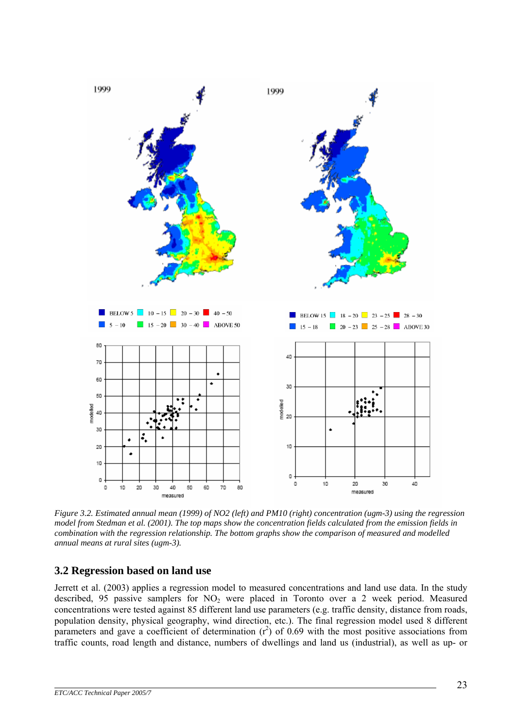<span id="page-22-0"></span>

 *Figure 3.2. Estimated annual mean (1999) of NO2 (left) and PM10 (right) concentration (ugm-3) using the regression model from Stedman et al. (2001). The top maps show the concentration fields calculated from the emission fields in combination with the regression relationship. The bottom graphs show the comparison of measured and modelled annual means at rural sites (ugm-3).*

# **3.2 Regression based on land use**

Jerrett et al. (2003) applies a regression model to measured concentrations and land use data. In the study described, 95 passive samplers for  $NO<sub>2</sub>$  were placed in Toronto over a 2 week period. Measured concentrations were tested against 85 different land use parameters (e.g. traffic density, distance from roads, population density, physical geography, wind direction, etc.). The final regression model used 8 different parameters and gave a coefficient of determination  $(r^2)$  of 0.69 with the most positive associations from traffic counts, road length and distance, numbers of dwellings and land us (industrial), as well as up- or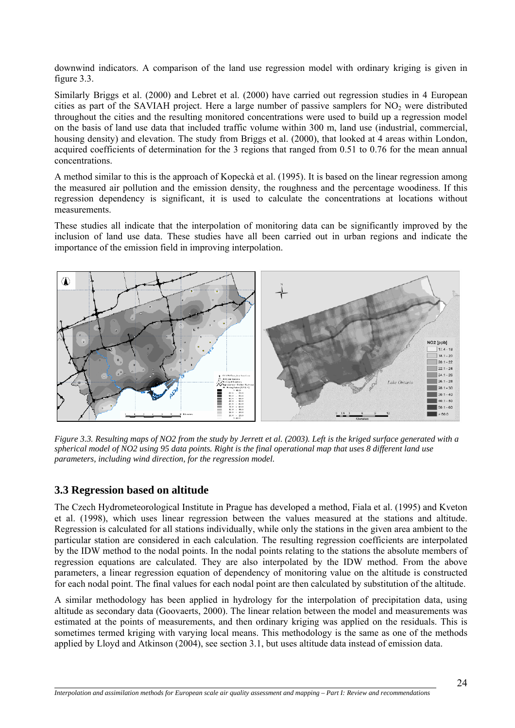<span id="page-23-0"></span>downwind indicators. A comparison of the land use regression model with ordinary kriging is given in figure 3.3.

Similarly Briggs et al. (2000) and Lebret et al. (2000) have carried out regression studies in 4 European cities as part of the SAVIAH project. Here a large number of passive samplers for  $NO<sub>2</sub>$  were distributed throughout the cities and the resulting monitored concentrations were used to build up a regression model on the basis of land use data that included traffic volume within 300 m, land use (industrial, commercial, housing density) and elevation. The study from Briggs et al. (2000), that looked at 4 areas within London, acquired coefficients of determination for the 3 regions that ranged from 0.51 to 0.76 for the mean annual concentrations.

A method similar to this is the approach of Kopeckà et al. (1995). It is based on the linear regression among the measured air pollution and the emission density, the roughness and the percentage woodiness. If this regression dependency is significant, it is used to calculate the concentrations at locations without measurements.

These studies all indicate that the interpolation of monitoring data can be significantly improved by the inclusion of land use data. These studies have all been carried out in urban regions and indicate the importance of the emission field in improving interpolation.



*Figure 3.3. Resulting maps of NO2 from the study by Jerrett et al. (2003). Left is the kriged surface generated with a spherical model of NO2 using 95 data points. Right is the final operational map that uses 8 different land use parameters, including wind direction, for the regression model.*

# **3.3 Regression based on altitude**

 $\overline{a}$ 

The Czech Hydrometeorological Institute in Prague has developed a method, Fiala et al. (1995) and Kveton et al. (1998), which uses linear regression between the values measured at the stations and altitude. Regression is calculated for all stations individually, while only the stations in the given area ambient to the particular station are considered in each calculation. The resulting regression coefficients are interpolated by the IDW method to the nodal points. In the nodal points relating to the stations the absolute members of regression equations are calculated. They are also interpolated by the IDW method. From the above parameters, a linear regression equation of dependency of monitoring value on the altitude is constructed for each nodal point. The final values for each nodal point are then calculated by substitution of the altitude.

A similar methodology has been applied in hydrology for the interpolation of precipitation data, using altitude as secondary data (Goovaerts, 2000). The linear relation between the model and measurements was estimated at the points of measurements, and then ordinary kriging was applied on the residuals. This is sometimes termed kriging with varying local means. This methodology is the same as one of the methods applied by Lloyd and Atkinson (2004), see section 3.1, but uses altitude data instead of emission data.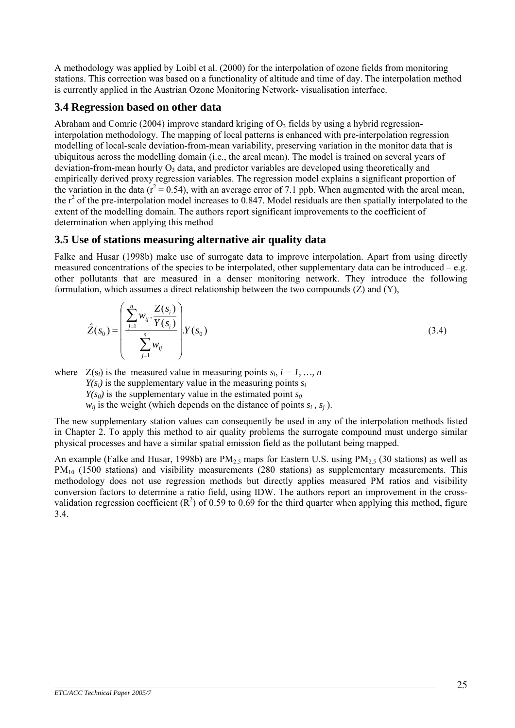<span id="page-24-0"></span>A methodology was applied by Loibl et al. (2000) for the interpolation of ozone fields from monitoring stations. This correction was based on a functionality of altitude and time of day. The interpolation method is currently applied in the Austrian Ozone Monitoring Network- visualisation interface.

# **3.4 Regression based on other data**

 $\mathbf{r}$ 

Abraham and Comrie (2004) improve standard kriging of  $O<sub>3</sub>$  fields by using a hybrid regressioninterpolation methodology. The mapping of local patterns is enhanced with pre-interpolation regression modelling of local-scale deviation-from-mean variability, preserving variation in the monitor data that is ubiquitous across the modelling domain (i.e., the areal mean). The model is trained on several years of deviation-from-mean hourly  $O_3$  data, and predictor variables are developed using theoretically and empirically derived proxy regression variables. The regression model explains a significant proportion of the variation in the data ( $r^2 = 0.54$ ), with an average error of 7.1 ppb. When augmented with the areal mean, the  $r^2$  of the pre-interpolation model increases to 0.847. Model residuals are then spatially interpolated to the extent of the modelling domain. The authors report significant improvements to the coefficient of determination when applying this method

# **3.5 Use of stations measuring alternative air quality data**

Falke and Husar (1998b) make use of surrogate data to improve interpolation. Apart from using directly measured concentrations of the species to be interpolated, other supplementary data can be introduced – e.g. other pollutants that are measured in a denser monitoring network. They introduce the following formulation, which assumes a direct relationship between the two compounds  $(Z)$  and  $(Y)$ .

$$
\hat{Z}(s_0) = \left(\frac{\sum_{j=1}^{n} w_{ij} \cdot \frac{Z(s_i)}{Y(s_i)}}{\sum_{j=1}^{n} w_{ij}}\right) Y(s_0)
$$
\n(3.4)

where  $Z(s_i)$  is the measured value in measuring points  $s_i$ ,  $i = 1, ..., n$ 

 $Y(s_i)$  is the supplementary value in the measuring points  $s_i$ 

 $Y(s_0)$  is the supplementary value in the estimated point  $s_0$ 

 $w_{ii}$  is the weight (which depends on the distance of points  $s_i$ ,  $s_i$ ).

The new supplementary station values can consequently be used in any of the interpolation methods listed in Chapter 2. To apply this method to air quality problems the surrogate compound must undergo similar physical processes and have a similar spatial emission field as the pollutant being mapped.

An example (Falke and Husar, 1998b) are  $PM_{2.5}$  maps for Eastern U.S. using  $PM_{2.5}$  (30 stations) as well as  $PM_{10}$  (1500 stations) and visibility measurements (280 stations) as supplementary measurements. This methodology does not use regression methods but directly applies measured PM ratios and visibility conversion factors to determine a ratio field, using IDW. The authors report an improvement in the crossvalidation regression coefficient  $(R^2)$  of 0.59 to 0.69 for the third quarter when applying this method, figure 3.4.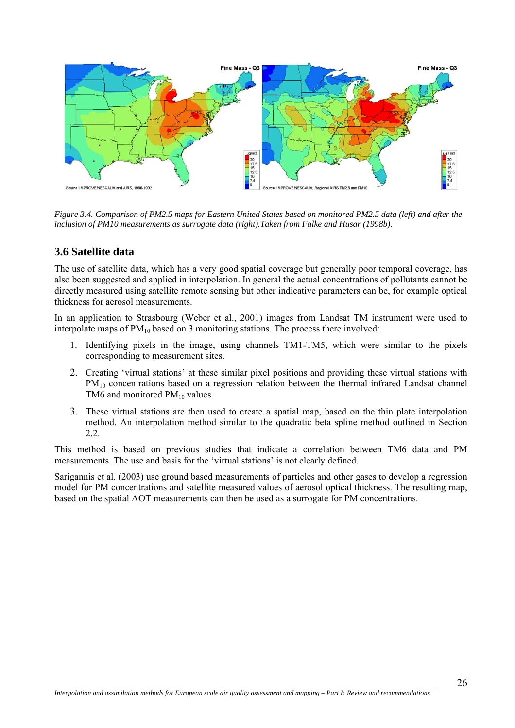<span id="page-25-0"></span>

*Figure 3.4. Comparison of PM2.5 maps for Eastern United States based on monitored PM2.5 data (left) and after the inclusion of PM10 measurements as surrogate data (right).Taken from Falke and Husar (1998b).*

# **3.6 Satellite data**

The use of satellite data, which has a very good spatial coverage but generally poor temporal coverage, has also been suggested and applied in interpolation. In general the actual concentrations of pollutants cannot be directly measured using satellite remote sensing but other indicative parameters can be, for example optical thickness for aerosol measurements.

In an application to Strasbourg (Weber et al., 2001) images from Landsat TM instrument were used to interpolate maps of  $PM_{10}$  based on 3 monitoring stations. The process there involved:

- 1. Identifying pixels in the image, using channels TM1-TM5, which were similar to the pixels corresponding to measurement sites.
- 2. Creating 'virtual stations' at these similar pixel positions and providing these virtual stations with  $PM<sub>10</sub>$  concentrations based on a regression relation between the thermal infrared Landsat channel TM6 and monitored  $PM_{10}$  values
- 3. These virtual stations are then used to create a spatial map, based on the thin plate interpolation method. An interpolation method similar to the quadratic beta spline method outlined in Section 2.2.

This method is based on previous studies that indicate a correlation between TM6 data and PM measurements. The use and basis for the 'virtual stations' is not clearly defined.

Sarigannis et al. (2003) use ground based measurements of particles and other gases to develop a regression model for PM concentrations and satellite measured values of aerosol optical thickness. The resulting map, based on the spatial AOT measurements can then be used as a surrogate for PM concentrations.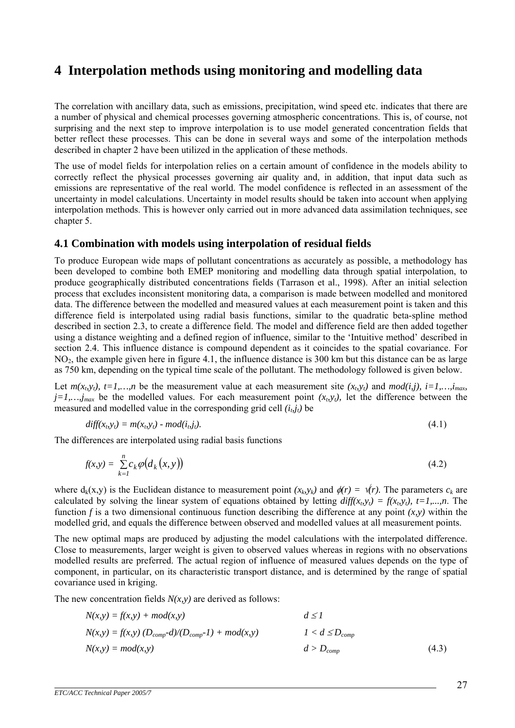# <span id="page-26-0"></span>**4 Interpolation methods using monitoring and modelling data**

The correlation with ancillary data, such as emissions, precipitation, wind speed etc. indicates that there are a number of physical and chemical processes governing atmospheric concentrations. This is, of course, not surprising and the next step to improve interpolation is to use model generated concentration fields that better reflect these processes. This can be done in several ways and some of the interpolation methods described in chapter 2 have been utilized in the application of these methods.

The use of model fields for interpolation relies on a certain amount of confidence in the models ability to correctly reflect the physical processes governing air quality and, in addition, that input data such as emissions are representative of the real world. The model confidence is reflected in an assessment of the uncertainty in model calculations. Uncertainty in model results should be taken into account when applying interpolation methods. This is however only carried out in more advanced data assimilation techniques, see chapter 5.

#### **4.1 Combination with models using interpolation of residual fields**

To produce European wide maps of pollutant concentrations as accurately as possible, a methodology has been developed to combine both EMEP monitoring and modelling data through spatial interpolation, to produce geographically distributed concentrations fields (Tarrason et al., 1998). After an initial selection process that excludes inconsistent monitoring data, a comparison is made between modelled and monitored data. The difference between the modelled and measured values at each measurement point is taken and this difference field is interpolated using radial basis functions, similar to the quadratic beta-spline method described in section 2.3, to create a difference field. The model and difference field are then added together using a distance weighting and a defined region of influence, similar to the 'Intuitive method' described in section 2.4. This influence distance is compound dependent as it coincides to the spatial covariance. For  $NO<sub>2</sub>$ , the example given here in figure 4.1, the influence distance is 300 km but this distance can be as large as 750 km, depending on the typical time scale of the pollutant. The methodology followed is given below.

Let  $m(x<sub>b</sub>,y<sub>t</sub>), t=1,...,n$  be the measurement value at each measurement site  $(x<sub>b</sub>,y<sub>t</sub>)$  and  $mod(i,j), i=1,...,i_{max}$  $j=1,...,j_{max}$  be the modelled values. For each measurement point  $(x_b, y_t)$ , let the difference between the measured and modelled value in the corresponding grid cell  $(i_b j_t)$  be

$$
diff(xbyt) = m(xbyt) - mod(ibjt).
$$
\n(4.1)

The differences are interpolated using radial basis functions

$$
f(x,y) = \sum_{k=1}^{n} c_k \varphi(d_k(x,y))
$$
\n(4.2)

where  $d_k(x,y)$  is the Euclidean distance to measurement point  $(x_k, y_k)$  and  $\phi(r) = \psi(r)$ . The parameters  $c_k$  are calculated by solving the linear system of equations obtained by letting  $diff(x<sub>t</sub>,y<sub>t</sub>) = f(x<sub>t</sub>,y<sub>t</sub>), t=1,...,n$ . The function *f* is a two dimensional continuous function describing the difference at any point  $(x, y)$  within the modelled grid, and equals the difference between observed and modelled values at all measurement points.

The new optimal maps are produced by adjusting the model calculations with the interpolated difference. Close to measurements, larger weight is given to observed values whereas in regions with no observations modelled results are preferred. The actual region of influence of measured values depends on the type of component, in particular, on its characteristic transport distance, and is determined by the range of spatial covariance used in kriging.

The new concentration fields  $N(x, y)$  are derived as follows:

$$
N(x,y) = f(x,y) + mod(x,y)
$$
  
\n
$$
d \le 1
$$
  
\n
$$
N(x,y) = f(x,y) (D_{comp}-d)/(D_{comp}-1) + mod(x,y)
$$
  
\n
$$
1 < d \le D_{comp}
$$
  
\n
$$
N(x,y) = mod(x,y)
$$
  
\n
$$
d > D_{comp}
$$
  
\n(4.3)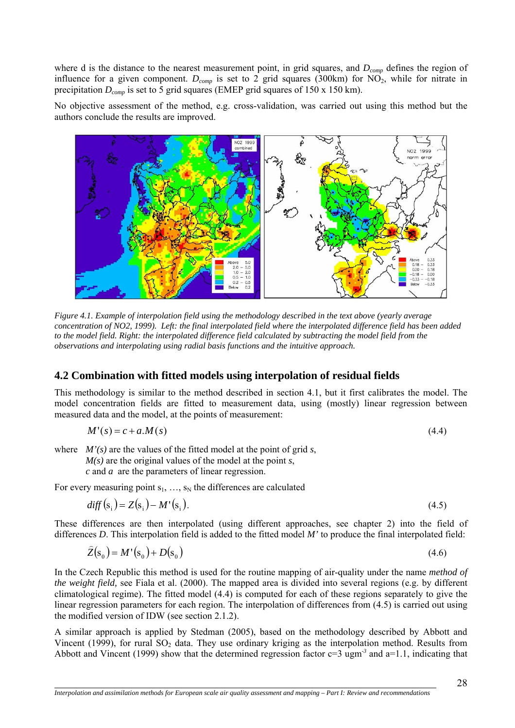<span id="page-27-0"></span>where d is the distance to the nearest measurement point, in grid squares, and  $D_{comp}$  defines the region of influence for a given component.  $D_{comp}$  is set to 2 grid squares (300km) for NO<sub>2</sub>, while for nitrate in precipitation  $D_{comm}$  is set to 5 grid squares (EMEP grid squares of 150 x 150 km).

No objective assessment of the method, e.g. cross-validation, was carried out using this method but the authors conclude the results are improved.



*Figure 4.1. Example of interpolation field using the methodology described in the text above (yearly average concentration of NO2, 1999). Left: the final interpolated field where the interpolated difference field has been added to the model field. Right: the interpolated difference field calculated by subtracting the model field from the observations and interpolating using radial basis functions and the intuitive approach.* 

#### **4.2 Combination with fitted models using interpolation of residual fields**

This methodology is similar to the method described in section 4.1, but it first calibrates the model. The model concentration fields are fitted to measurement data, using (mostly) linear regression between measured data and the model, at the points of measurement:

$$
M'(s) = c + a.M(s) \tag{4.4}
$$

where  $M'(s)$  are the values of the fitted model at the point of grid *s*, *M(s)* are the original values of the model at the point *s*, *c* and *a* are the parameters of linear regression.

For every measuring point  $s_1, ..., s_N$  the differences are calculated

 $\overline{a}$ 

$$
diff(si) = Z(si) - M'(si).
$$
\n(4.5)

These differences are then interpolated (using different approaches, see chapter 2) into the field of differences *D*. This interpolation field is added to the fitted model *M'* to produce the final interpolated field:

$$
\hat{Z}(s_0) = M'(s_0) + D(s_0)
$$
\n(4.6)

In the Czech Republic this method is used for the routine mapping of air-quality under the name *method of the weight field,* see Fiala et al. (2000). The mapped area is divided into several regions (e.g. by different climatological regime). The fitted model (4.4) is computed for each of these regions separately to give the linear regression parameters for each region. The interpolation of differences from (4.5) is carried out using the modified version of IDW (see section 2.1.2).

A similar approach is applied by Stedman (2005), based on the methodology described by Abbott and Vincent (1999), for rural  $SO_2$  data. They use ordinary kriging as the interpolation method. Results from Abbott and Vincent (1999) show that the determined regression factor  $c=3$  ugm<sup>-3</sup> and  $a=1.1$ , indicating that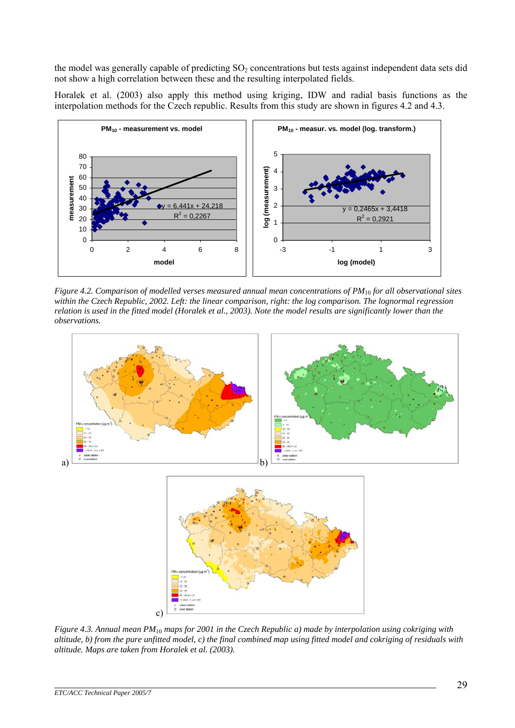the model was generally capable of predicting  $SO_2$  concentrations but tests against independent data sets did not show a high correlation between these and the resulting interpolated fields.

Horalek et al. (2003) also apply this method using kriging, IDW and radial basis functions as the interpolation methods for the Czech republic. Results from this study are shown in figures 4.2 and 4.3.



*Figure 4.2. Comparison of modelled verses measured annual mean concentrations of PM*10 *for all observational sites within the Czech Republic, 2002. Left: the linear comparison, right: the log comparison. The lognormal regression relation is used in the fitted model (Horalek et al., 2003). Note the model results are significantly lower than the observations.* 



*Figure 4.3. Annual mean PM*10 *maps for 2001 in the Czech Republic a) made by interpolation using cokriging with altitude, b) from the pure unfitted model, c) the final combined map using fitted model and cokriging of residuals with altitude. Maps are taken from Horalek et al. (2003).*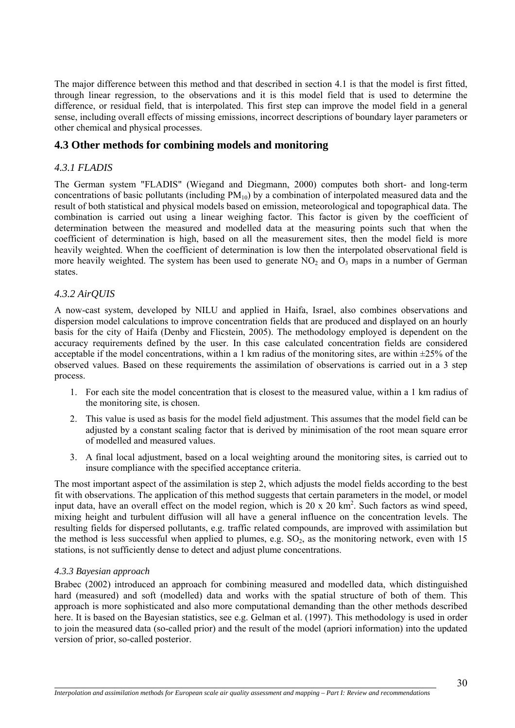<span id="page-29-0"></span>The major difference between this method and that described in section 4.1 is that the model is first fitted, through linear regression, to the observations and it is this model field that is used to determine the difference, or residual field, that is interpolated. This first step can improve the model field in a general sense, including overall effects of missing emissions, incorrect descriptions of boundary layer parameters or other chemical and physical processes.

# **4.3 Other methods for combining models and monitoring**

### *4.3.1 FLADIS*

The German system "FLADIS" (Wiegand and Diegmann, 2000) computes both short- and long-term concentrations of basic pollutants (including  $PM_{10}$ ) by a combination of interpolated measured data and the result of both statistical and physical models based on emission, meteorological and topographical data. The combination is carried out using a linear weighing factor. This factor is given by the coefficient of determination between the measured and modelled data at the measuring points such that when the coefficient of determination is high, based on all the measurement sites, then the model field is more heavily weighted. When the coefficient of determination is low then the interpolated observational field is more heavily weighted. The system has been used to generate  $NO<sub>2</sub>$  and  $O<sub>3</sub>$  maps in a number of German states.

#### *4.3.2 AirQUIS*

A now-cast system, developed by NILU and applied in Haifa, Israel, also combines observations and dispersion model calculations to improve concentration fields that are produced and displayed on an hourly basis for the city of Haifa (Denby and Flicstein, 2005). The methodology employed is dependent on the accuracy requirements defined by the user. In this case calculated concentration fields are considered acceptable if the model concentrations, within a 1 km radius of the monitoring sites, are within  $\pm$ 25% of the observed values. Based on these requirements the assimilation of observations is carried out in a 3 step process.

- 1. For each site the model concentration that is closest to the measured value, within a 1 km radius of the monitoring site, is chosen.
- 2. This value is used as basis for the model field adjustment. This assumes that the model field can be adjusted by a constant scaling factor that is derived by minimisation of the root mean square error of modelled and measured values.
- 3. A final local adjustment, based on a local weighting around the monitoring sites, is carried out to insure compliance with the specified acceptance criteria.

The most important aspect of the assimilation is step 2, which adjusts the model fields according to the best fit with observations. The application of this method suggests that certain parameters in the model, or model input data, have an overall effect on the model region, which is  $20 \times 20 \text{ km}^2$ . Such factors as wind speed, mixing height and turbulent diffusion will all have a general influence on the concentration levels. The resulting fields for dispersed pollutants, e.g. traffic related compounds, are improved with assimilation but the method is less successful when applied to plumes, e.g.  $SO_2$ , as the monitoring network, even with 15 stations, is not sufficiently dense to detect and adjust plume concentrations.

#### *4.3.3 Bayesian approach*

 $\overline{a}$ 

Brabec (2002) introduced an approach for combining measured and modelled data, which distinguished hard (measured) and soft (modelled) data and works with the spatial structure of both of them. This approach is more sophisticated and also more computational demanding than the other methods described here. It is based on the Bayesian statistics, see e.g. Gelman et al. (1997). This methodology is used in order to join the measured data (so-called prior) and the result of the model (apriori information) into the updated version of prior, so-called posterior.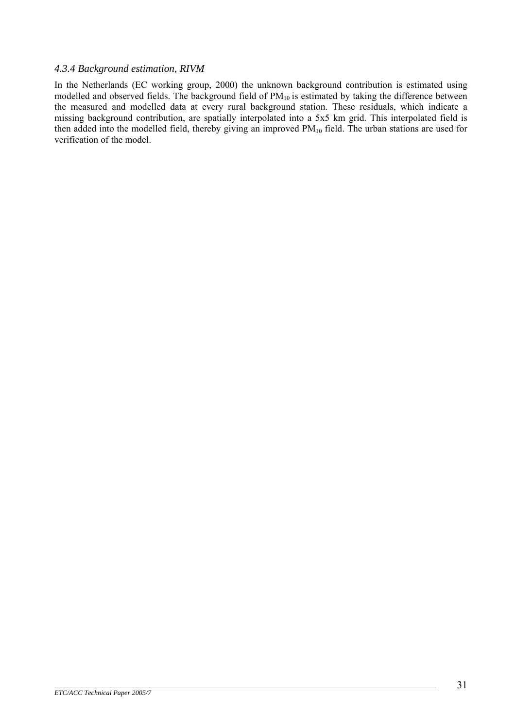#### *4.3.4 Background estimation, RIVM*

In the Netherlands (EC working group, 2000) the unknown background contribution is estimated using modelled and observed fields. The background field of PM<sub>10</sub> is estimated by taking the difference between the measured and modelled data at every rural background station. These residuals, which indicate a missing background contribution, are spatially interpolated into a 5x5 km grid. This interpolated field is then added into the modelled field, thereby giving an improved  $PM_{10}$  field. The urban stations are used for verification of the model.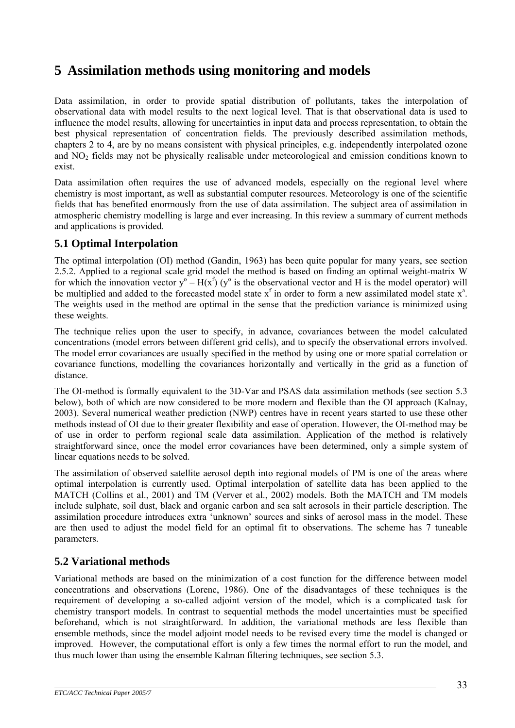# <span id="page-32-0"></span>**5 Assimilation methods using monitoring and models**

Data assimilation, in order to provide spatial distribution of pollutants, takes the interpolation of observational data with model results to the next logical level. That is that observational data is used to influence the model results, allowing for uncertainties in input data and process representation, to obtain the best physical representation of concentration fields. The previously described assimilation methods, chapters 2 to 4, are by no means consistent with physical principles, e.g. independently interpolated ozone and NO2 fields may not be physically realisable under meteorological and emission conditions known to exist.

Data assimilation often requires the use of advanced models, especially on the regional level where chemistry is most important, as well as substantial computer resources. Meteorology is one of the scientific fields that has benefited enormously from the use of data assimilation. The subject area of assimilation in atmospheric chemistry modelling is large and ever increasing. In this review a summary of current methods and applications is provided.

# **5.1 Optimal Interpolation**

The optimal interpolation (OI) method (Gandin, 1963) has been quite popular for many years, see section 2.5.2. Applied to a regional scale grid model the method is based on finding an optimal weight-matrix W for which the innovation vector  $y^{\circ} - H(x^f)$  ( $y^{\circ}$  is the observational vector and H is the model operator) will be multiplied and added to the forecasted model state  $x^f$  in order to form a new assimilated model state  $x^a$ . The weights used in the method are optimal in the sense that the prediction variance is minimized using these weights.

The technique relies upon the user to specify, in advance, covariances between the model calculated concentrations (model errors between different grid cells), and to specify the observational errors involved. The model error covariances are usually specified in the method by using one or more spatial correlation or covariance functions, modelling the covariances horizontally and vertically in the grid as a function of distance.

The OI-method is formally equivalent to the 3D-Var and PSAS data assimilation methods (see section 5.3 below), both of which are now considered to be more modern and flexible than the OI approach (Kalnay, 2003). Several numerical weather prediction (NWP) centres have in recent years started to use these other methods instead of OI due to their greater flexibility and ease of operation. However, the OI-method may be of use in order to perform regional scale data assimilation. Application of the method is relatively straightforward since, once the model error covariances have been determined, only a simple system of linear equations needs to be solved.

The assimilation of observed satellite aerosol depth into regional models of PM is one of the areas where optimal interpolation is currently used. Optimal interpolation of satellite data has been applied to the MATCH (Collins et al., 2001) and TM (Verver et al., 2002) models. Both the MATCH and TM models include sulphate, soil dust, black and organic carbon and sea salt aerosols in their particle description. The assimilation procedure introduces extra 'unknown' sources and sinks of aerosol mass in the model. These are then used to adjust the model field for an optimal fit to observations. The scheme has 7 tuneable parameters.

# **5.2 Variational methods**

Variational methods are based on the minimization of a cost function for the difference between model concentrations and observations (Lorenc, 1986). One of the disadvantages of these techniques is the requirement of developing a so-called adjoint version of the model, which is a complicated task for chemistry transport models. In contrast to sequential methods the model uncertainties must be specified beforehand, which is not straightforward. In addition, the variational methods are less flexible than ensemble methods, since the model adjoint model needs to be revised every time the model is changed or improved. However, the computational effort is only a few times the normal effort to run the model, and thus much lower than using the ensemble Kalman filtering techniques, see section 5.3.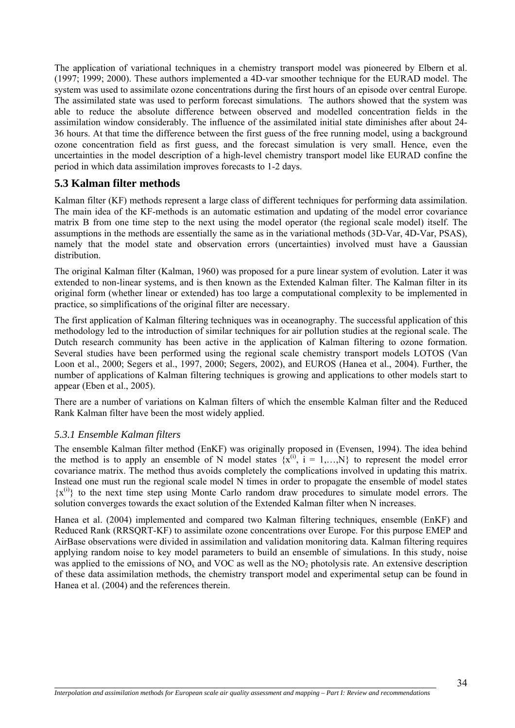<span id="page-33-0"></span>The application of variational techniques in a chemistry transport model was pioneered by Elbern et al. (1997; 1999; 2000). These authors implemented a 4D-var smoother technique for the EURAD model. The system was used to assimilate ozone concentrations during the first hours of an episode over central Europe. The assimilated state was used to perform forecast simulations. The authors showed that the system was able to reduce the absolute difference between observed and modelled concentration fields in the assimilation window considerably. The influence of the assimilated initial state diminishes after about 24- 36 hours. At that time the difference between the first guess of the free running model, using a background ozone concentration field as first guess, and the forecast simulation is very small. Hence, even the uncertainties in the model description of a high-level chemistry transport model like EURAD confine the period in which data assimilation improves forecasts to 1-2 days.

# **5.3 Kalman filter methods**

Kalman filter (KF) methods represent a large class of different techniques for performing data assimilation. The main idea of the KF-methods is an automatic estimation and updating of the model error covariance matrix B from one time step to the next using the model operator (the regional scale model) itself. The assumptions in the methods are essentially the same as in the variational methods (3D-Var, 4D-Var, PSAS), namely that the model state and observation errors (uncertainties) involved must have a Gaussian distribution.

The original Kalman filter (Kalman, 1960) was proposed for a pure linear system of evolution. Later it was extended to non-linear systems, and is then known as the Extended Kalman filter. The Kalman filter in its original form (whether linear or extended) has too large a computational complexity to be implemented in practice, so simplifications of the original filter are necessary.

The first application of Kalman filtering techniques was in oceanography. The successful application of this methodology led to the introduction of similar techniques for air pollution studies at the regional scale. The Dutch research community has been active in the application of Kalman filtering to ozone formation. Several studies have been performed using the regional scale chemistry transport models LOTOS (Van Loon et al., 2000; Segers et al., 1997, 2000; Segers, 2002), and EUROS (Hanea et al., 2004). Further, the number of applications of Kalman filtering techniques is growing and applications to other models start to appear (Eben et al., 2005).

There are a number of variations on Kalman filters of which the ensemble Kalman filter and the Reduced Rank Kalman filter have been the most widely applied.

#### *5.3.1 Ensemble Kalman filters*

The ensemble Kalman filter method (EnKF) was originally proposed in (Evensen, 1994). The idea behind the method is to apply an ensemble of N model states  $\{x^{(i)}, i = 1,...,N\}$  to represent the model error covariance matrix. The method thus avoids completely the complications involved in updating this matrix. Instead one must run the regional scale model N times in order to propagate the ensemble of model states  $\{x^{(i)}\}$  to the next time step using Monte Carlo random draw procedures to simulate model errors. The solution converges towards the exact solution of the Extended Kalman filter when N increases.

Hanea et al. (2004) implemented and compared two Kalman filtering techniques, ensemble (EnKF) and Reduced Rank (RRSQRT-KF) to assimilate ozone concentrations over Europe. For this purpose EMEP and AirBase observations were divided in assimilation and validation monitoring data. Kalman filtering requires applying random noise to key model parameters to build an ensemble of simulations. In this study, noise was applied to the emissions of  $NO<sub>x</sub>$  and  $VOC$  as well as the  $NO<sub>2</sub>$  photolysis rate. An extensive description of these data assimilation methods, the chemistry transport model and experimental setup can be found in Hanea et al. (2004) and the references therein.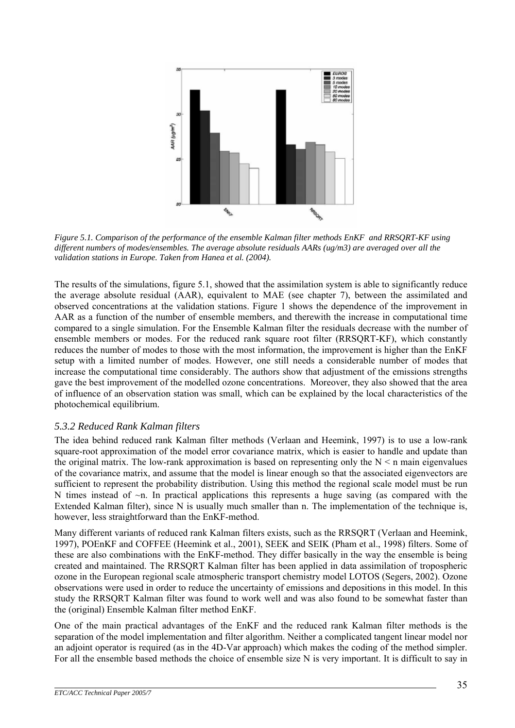

*Figure 5.1. Comparison of the performance of the ensemble Kalman filter methods EnKF and RRSQRT-KF using different numbers of modes/ensembles. The average absolute residuals AARs (ug/m3) are averaged over all the validation stations in Europe. Taken from Hanea et al. (2004).* 

The results of the simulations, figure 5.1, showed that the assimilation system is able to significantly reduce the average absolute residual (AAR), equivalent to MAE (see chapter 7), between the assimilated and observed concentrations at the validation stations. Figure 1 shows the dependence of the improvement in AAR as a function of the number of ensemble members, and therewith the increase in computational time compared to a single simulation. For the Ensemble Kalman filter the residuals decrease with the number of ensemble members or modes. For the reduced rank square root filter (RRSQRT-KF), which constantly reduces the number of modes to those with the most information, the improvement is higher than the EnKF setup with a limited number of modes. However, one still needs a considerable number of modes that increase the computational time considerably. The authors show that adjustment of the emissions strengths gave the best improvement of the modelled ozone concentrations. Moreover, they also showed that the area of influence of an observation station was small, which can be explained by the local characteristics of the photochemical equilibrium.

# *5.3.2 Reduced Rank Kalman filters*

The idea behind reduced rank Kalman filter methods (Verlaan and Heemink, 1997) is to use a low-rank square-root approximation of the model error covariance matrix, which is easier to handle and update than the original matrix. The low-rank approximation is based on representing only the  $N < n$  main eigenvalues of the covariance matrix, and assume that the model is linear enough so that the associated eigenvectors are sufficient to represent the probability distribution. Using this method the regional scale model must be run N times instead of  $\sim$ n. In practical applications this represents a huge saving (as compared with the Extended Kalman filter), since N is usually much smaller than n. The implementation of the technique is, however, less straightforward than the EnKF-method.

Many different variants of reduced rank Kalman filters exists, such as the RRSQRT (Verlaan and Heemink, 1997), POEnKF and COFFEE (Heemink et al., 2001), SEEK and SEIK (Pham et al., 1998) filters. Some of these are also combinations with the EnKF-method. They differ basically in the way the ensemble is being created and maintained. The RRSQRT Kalman filter has been applied in data assimilation of tropospheric ozone in the European regional scale atmospheric transport chemistry model LOTOS (Segers, 2002). Ozone observations were used in order to reduce the uncertainty of emissions and depositions in this model. In this study the RRSQRT Kalman filter was found to work well and was also found to be somewhat faster than the (original) Ensemble Kalman filter method EnKF.

One of the main practical advantages of the EnKF and the reduced rank Kalman filter methods is the separation of the model implementation and filter algorithm. Neither a complicated tangent linear model nor an adjoint operator is required (as in the 4D-Var approach) which makes the coding of the method simpler. For all the ensemble based methods the choice of ensemble size N is very important. It is difficult to say in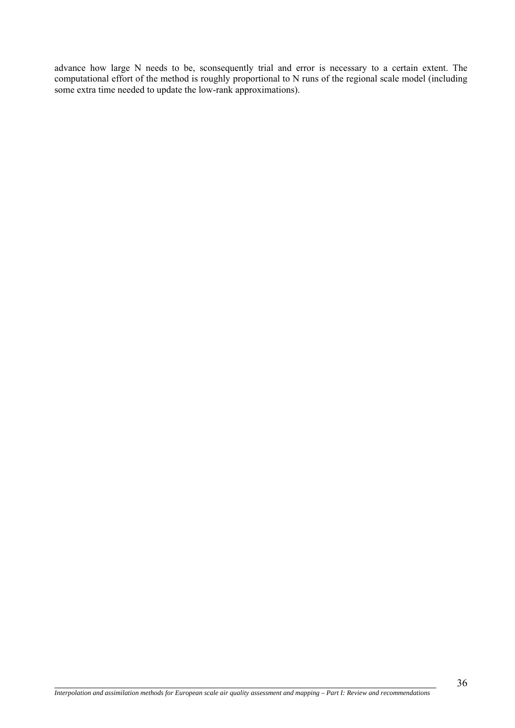advance how large N needs to be, sconsequently trial and error is necessary to a certain extent. The computational effort of the method is roughly proportional to N runs of the regional scale model (including some extra time needed to update the low-rank approximations).

 $\overline{a}$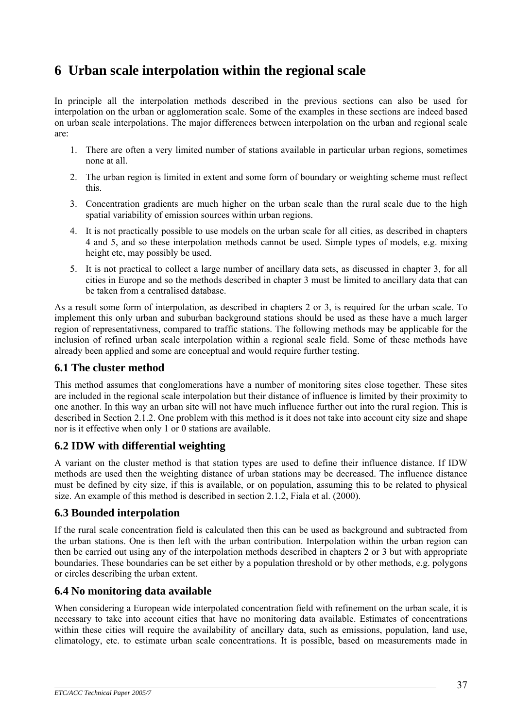# <span id="page-36-0"></span>**6 Urban scale interpolation within the regional scale**

In principle all the interpolation methods described in the previous sections can also be used for interpolation on the urban or agglomeration scale. Some of the examples in these sections are indeed based on urban scale interpolations. The major differences between interpolation on the urban and regional scale are:

- 1. There are often a very limited number of stations available in particular urban regions, sometimes none at all.
- 2. The urban region is limited in extent and some form of boundary or weighting scheme must reflect this.
- 3. Concentration gradients are much higher on the urban scale than the rural scale due to the high spatial variability of emission sources within urban regions.
- 4. It is not practically possible to use models on the urban scale for all cities, as described in chapters 4 and 5, and so these interpolation methods cannot be used. Simple types of models, e.g. mixing height etc, may possibly be used.
- 5. It is not practical to collect a large number of ancillary data sets, as discussed in chapter 3, for all cities in Europe and so the methods described in chapter 3 must be limited to ancillary data that can be taken from a centralised database.

As a result some form of interpolation, as described in chapters 2 or 3, is required for the urban scale. To implement this only urban and suburban background stations should be used as these have a much larger region of representativness, compared to traffic stations. The following methods may be applicable for the inclusion of refined urban scale interpolation within a regional scale field. Some of these methods have already been applied and some are conceptual and would require further testing.

# **6.1 The cluster method**

This method assumes that conglomerations have a number of monitoring sites close together. These sites are included in the regional scale interpolation but their distance of influence is limited by their proximity to one another. In this way an urban site will not have much influence further out into the rural region. This is described in Section 2.1.2. One problem with this method is it does not take into account city size and shape nor is it effective when only 1 or 0 stations are available.

# **6.2 IDW with differential weighting**

A variant on the cluster method is that station types are used to define their influence distance. If IDW methods are used then the weighting distance of urban stations may be decreased. The influence distance must be defined by city size, if this is available, or on population, assuming this to be related to physical size. An example of this method is described in section 2.1.2, Fiala et al. (2000).

# **6.3 Bounded interpolation**

If the rural scale concentration field is calculated then this can be used as background and subtracted from the urban stations. One is then left with the urban contribution. Interpolation within the urban region can then be carried out using any of the interpolation methods described in chapters 2 or 3 but with appropriate boundaries. These boundaries can be set either by a population threshold or by other methods, e.g. polygons or circles describing the urban extent.

# **6.4 No monitoring data available**

When considering a European wide interpolated concentration field with refinement on the urban scale, it is necessary to take into account cities that have no monitoring data available. Estimates of concentrations within these cities will require the availability of ancillary data, such as emissions, population, land use, climatology, etc. to estimate urban scale concentrations. It is possible, based on measurements made in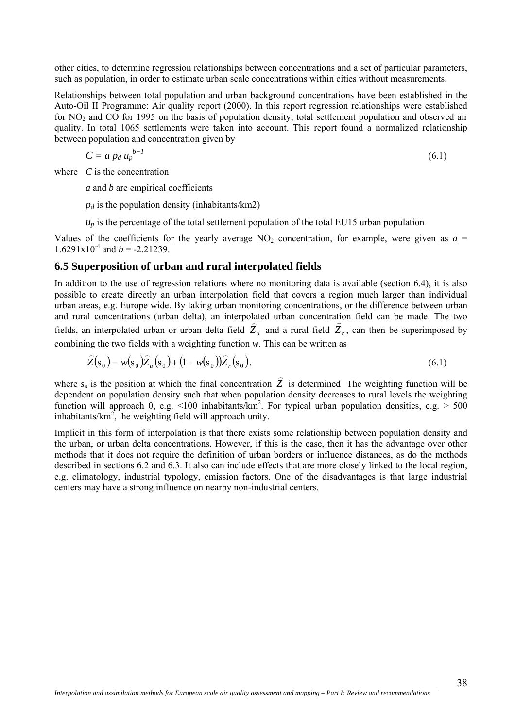<span id="page-37-0"></span>other cities, to determine regression relationships between concentrations and a set of particular parameters, such as population, in order to estimate urban scale concentrations within cities without measurements.

Relationships between total population and urban background concentrations have been established in the Auto-Oil II Programme: Air quality report (2000). In this report regression relationships were established for  $NO<sub>2</sub>$  and CO for 1995 on the basis of population density, total settlement population and observed air quality. In total 1065 settlements were taken into account. This report found a normalized relationship between population and concentration given by

$$
C = a p_d u_p^{b+1} \tag{6.1}
$$

where *C* is the concentration

 $\overline{a}$ 

*a* and *b* are empirical coefficients

 $p_d$  is the population density (inhabitants/km2)

 $u_p$  is the percentage of the total settlement population of the total EU15 urban population

Values of the coefficients for the yearly average  $NO<sub>2</sub>$  concentration, for example, were given as  $a =$  $1.6291x10^{-4}$  and  $b = -2.21239$ .

### **6.5 Superposition of urban and rural interpolated fields**

In addition to the use of regression relations where no monitoring data is available (section 6.4), it is also possible to create directly an urban interpolation field that covers a region much larger than individual urban areas, e.g. Europe wide. By taking urban monitoring concentrations, or the difference between urban and rural concentrations (urban delta), an interpolated urban concentration field can be made. The two fields, an interpolated urban or urban delta field  $\hat{Z}_u$  and a rural field  $\hat{Z}_r$ , can then be superimposed by combining the two fields with a weighting function *w*. This can be written as

$$
\hat{Z}(s_0) = w(s_0)\hat{Z}_u(s_0) + (1 - w(s_0))\hat{Z}_r(s_0).
$$
\n(6.1)

where  $s_o$  is the position at which the final concentration  $\hat{Z}$  is determined The weighting function will be dependent on population density such that when population density decreases to rural levels the weighting function will approach 0, e.g. <100 inhabitants/km<sup>2</sup>. For typical urban population densities, e.g. > 500 inhabitants/ $km^2$ , the weighting field will approach unity.

Implicit in this form of interpolation is that there exists some relationship between population density and the urban, or urban delta concentrations. However, if this is the case, then it has the advantage over other methods that it does not require the definition of urban borders or influence distances, as do the methods described in sections 6.2 and 6.3. It also can include effects that are more closely linked to the local region, e.g. climatology, industrial typology, emission factors. One of the disadvantages is that large industrial centers may have a strong influence on nearby non-industrial centers.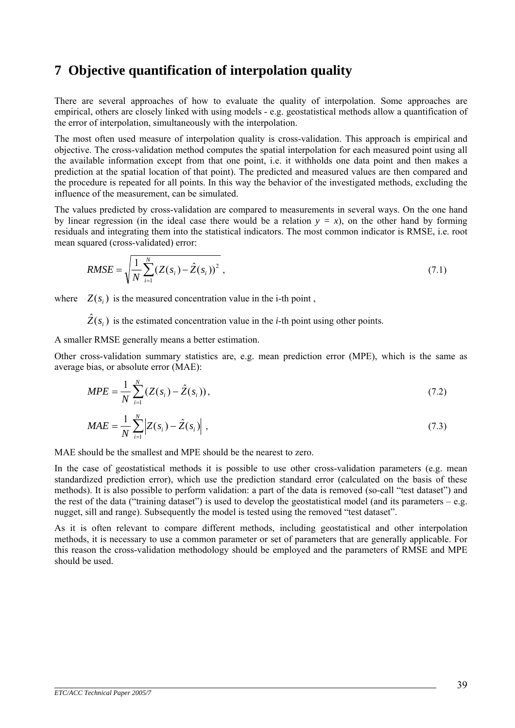# <span id="page-38-0"></span>**7 Objective quantification of interpolation quality**

There are several approaches of how to evaluate the quality of interpolation. Some approaches are empirical, others are closely linked with using models - e.g. geostatistical methods allow a quantification of the error of interpolation, simultaneously with the interpolation.

The most often used measure of interpolation quality is cross-validation. This approach is empirical and objective. The cross-validation method computes the spatial interpolation for each measured point using all the available information except from that one point, i.e. it withholds one data point and then makes a prediction at the spatial location of that point). The predicted and measured values are then compared and the procedure is repeated for all points. In this way the behavior of the investigated methods, excluding the influence of the measurement, can be simulated.

The values predicted by cross-validation are compared to measurements in several ways. On the one hand by linear regression (in the ideal case there would be a relation  $y = x$ ), on the other hand by forming residuals and integrating them into the statistical indicators. The most common indicator is RMSE, i.e. root mean squared (cross-validated) error:

$$
RMSE = \sqrt{\frac{1}{N} \sum_{i=1}^{N} (Z(s_i) - \hat{Z}(s_i))^2},
$$
\n(7.1)

where  $Z(s_i)$  is the measured concentration value in the i-th point ,

 $\hat{Z}(s_i)$  is the estimated concentration value in the *i*-th point using other points.

A smaller RMSE generally means a better estimation.

Other cross-validation summary statistics are, e.g. mean prediction error (MPE), which is the same as average bias, or absolute error (MAE):

$$
MPE = \frac{1}{N} \sum_{i=1}^{N} (Z(s_i) - \hat{Z}(s_i)),
$$
\n(7.2)

$$
MAE = \frac{1}{N} \sum_{i=1}^{N} \left| Z(s_i) - \hat{Z}(s_i) \right|,
$$
\n(7.3)

MAE should be the smallest and MPE should be the nearest to zero.

In the case of geostatistical methods it is possible to use other cross-validation parameters (e.g. mean standardized prediction error), which use the prediction standard error (calculated on the basis of these methods). It is also possible to perform validation: a part of the data is removed (so-call "test dataset") and the rest of the data ("training dataset") is used to develop the geostatistical model (and its parameters  $-e.g.$ nugget, sill and range). Subsequently the model is tested using the removed "test dataset".

As it is often relevant to compare different methods, including geostatistical and other interpolation methods, it is necessary to use a common parameter or set of parameters that are generally applicable. For this reason the cross-validation methodology should be employed and the parameters of RMSE and MPE should be used.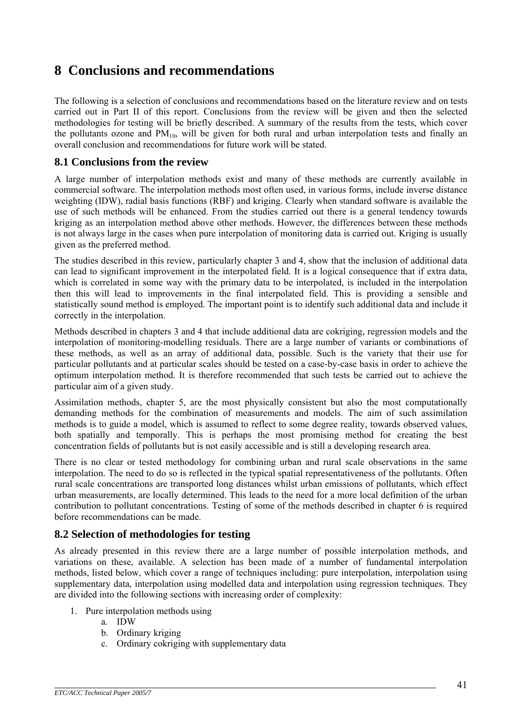# <span id="page-40-0"></span>**8 Conclusions and recommendations**

The following is a selection of conclusions and recommendations based on the literature review and on tests carried out in Part II of this report. Conclusions from the review will be given and then the selected methodologies for testing will be briefly described. A summary of the results from the tests, which cover the pollutants ozone and  $PM_{10}$ , will be given for both rural and urban interpolation tests and finally an overall conclusion and recommendations for future work will be stated.

### **8.1 Conclusions from the review**

A large number of interpolation methods exist and many of these methods are currently available in commercial software. The interpolation methods most often used, in various forms, include inverse distance weighting (IDW), radial basis functions (RBF) and kriging. Clearly when standard software is available the use of such methods will be enhanced. From the studies carried out there is a general tendency towards kriging as an interpolation method above other methods. However, the differences between these methods is not always large in the cases when pure interpolation of monitoring data is carried out. Kriging is usually given as the preferred method.

The studies described in this review, particularly chapter 3 and 4, show that the inclusion of additional data can lead to significant improvement in the interpolated field. It is a logical consequence that if extra data, which is correlated in some way with the primary data to be interpolated, is included in the interpolation then this will lead to improvements in the final interpolated field. This is providing a sensible and statistically sound method is employed. The important point is to identify such additional data and include it correctly in the interpolation.

Methods described in chapters 3 and 4 that include additional data are cokriging, regression models and the interpolation of monitoring-modelling residuals. There are a large number of variants or combinations of these methods, as well as an array of additional data, possible. Such is the variety that their use for particular pollutants and at particular scales should be tested on a case-by-case basis in order to achieve the optimum interpolation method. It is therefore recommended that such tests be carried out to achieve the particular aim of a given study.

Assimilation methods, chapter 5, are the most physically consistent but also the most computationally demanding methods for the combination of measurements and models. The aim of such assimilation methods is to guide a model, which is assumed to reflect to some degree reality, towards observed values, both spatially and temporally. This is perhaps the most promising method for creating the best concentration fields of pollutants but is not easily accessible and is still a developing research area.

There is no clear or tested methodology for combining urban and rural scale observations in the same interpolation. The need to do so is reflected in the typical spatial representativeness of the pollutants. Often rural scale concentrations are transported long distances whilst urban emissions of pollutants, which effect urban measurements, are locally determined. This leads to the need for a more local definition of the urban contribution to pollutant concentrations. Testing of some of the methods described in chapter 6 is required before recommendations can be made.

# **8.2 Selection of methodologies for testing**

As already presented in this review there are a large number of possible interpolation methods, and variations on these, available. A selection has been made of a number of fundamental interpolation methods, listed below, which cover a range of techniques including: pure interpolation, interpolation using supplementary data, interpolation using modelled data and interpolation using regression techniques. They are divided into the following sections with increasing order of complexity:

- 1. Pure interpolation methods using
	- a. IDW
	- b. Ordinary kriging
	- c. Ordinary cokriging with supplementary data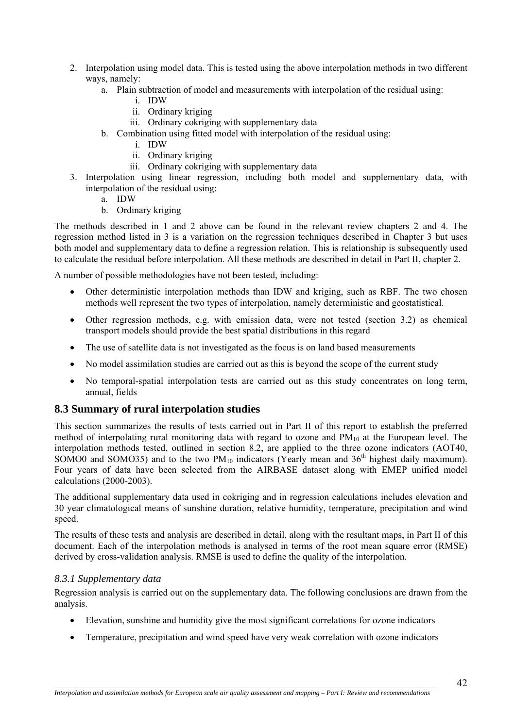- <span id="page-41-0"></span>2. Interpolation using model data. This is tested using the above interpolation methods in two different ways, namely:
	- a. Plain subtraction of model and measurements with interpolation of the residual using:
		- i. IDW
		- ii. Ordinary kriging
		- iii. Ordinary cokriging with supplementary data
	- b. Combination using fitted model with interpolation of the residual using:
		- i. IDW
		- ii. Ordinary kriging
		- iii. Ordinary cokriging with supplementary data
- 3. Interpolation using linear regression, including both model and supplementary data, with interpolation of the residual using:
	- a. IDW
	- b. Ordinary kriging

The methods described in 1 and 2 above can be found in the relevant review chapters 2 and 4. The regression method listed in 3 is a variation on the regression techniques described in Chapter 3 but uses both model and supplementary data to define a regression relation. This is relationship is subsequently used to calculate the residual before interpolation. All these methods are described in detail in Part II, chapter 2.

A number of possible methodologies have not been tested, including:

- Other deterministic interpolation methods than IDW and kriging, such as RBF. The two chosen methods well represent the two types of interpolation, namely deterministic and geostatistical.
- Other regression methods, e.g. with emission data, were not tested (section 3.2) as chemical transport models should provide the best spatial distributions in this regard
- The use of satellite data is not investigated as the focus is on land based measurements
- No model assimilation studies are carried out as this is beyond the scope of the current study
- No temporal-spatial interpolation tests are carried out as this study concentrates on long term, annual, fields

#### **8.3 Summary of rural interpolation studies**

This section summarizes the results of tests carried out in Part II of this report to establish the preferred method of interpolating rural monitoring data with regard to ozone and  $PM_{10}$  at the European level. The interpolation methods tested, outlined in section 8.2, are applied to the three ozone indicators (AOT40, SOMO0 and SOMO35) and to the two  $PM_{10}$  indicators (Yearly mean and 36<sup>th</sup> highest daily maximum). Four years of data have been selected from the AIRBASE dataset along with EMEP unified model calculations (2000-2003).

The additional supplementary data used in cokriging and in regression calculations includes elevation and 30 year climatological means of sunshine duration, relative humidity, temperature, precipitation and wind speed.

The results of these tests and analysis are described in detail, along with the resultant maps, in Part II of this document. Each of the interpolation methods is analysed in terms of the root mean square error (RMSE) derived by cross-validation analysis. RMSE is used to define the quality of the interpolation.

#### *8.3.1 Supplementary data*

 $\overline{a}$ 

Regression analysis is carried out on the supplementary data. The following conclusions are drawn from the analysis.

- Elevation, sunshine and humidity give the most significant correlations for ozone indicators
- Temperature, precipitation and wind speed have very weak correlation with ozone indicators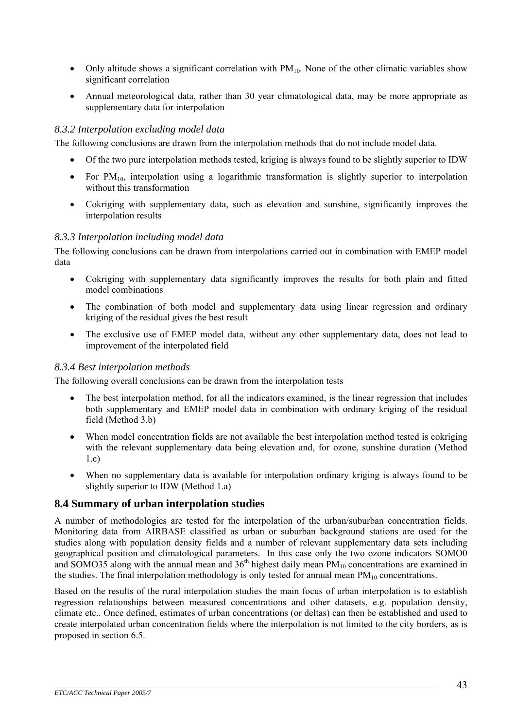- <span id="page-42-0"></span>• Only altitude shows a significant correlation with  $PM_{10}$ . None of the other climatic variables show significant correlation
- Annual meteorological data, rather than 30 year climatological data, may be more appropriate as supplementary data for interpolation

### *8.3.2 Interpolation excluding model data*

The following conclusions are drawn from the interpolation methods that do not include model data.

- Of the two pure interpolation methods tested, kriging is always found to be slightly superior to IDW
- For  $PM_{10}$ , interpolation using a logarithmic transformation is slightly superior to interpolation without this transformation
- Cokriging with supplementary data, such as elevation and sunshine, significantly improves the interpolation results

#### *8.3.3 Interpolation including model data*

The following conclusions can be drawn from interpolations carried out in combination with EMEP model data

- Cokriging with supplementary data significantly improves the results for both plain and fitted model combinations
- The combination of both model and supplementary data using linear regression and ordinary kriging of the residual gives the best result
- The exclusive use of EMEP model data, without any other supplementary data, does not lead to improvement of the interpolated field

#### *8.3.4 Best interpolation methods*

The following overall conclusions can be drawn from the interpolation tests

- The best interpolation method, for all the indicators examined, is the linear regression that includes both supplementary and EMEP model data in combination with ordinary kriging of the residual field (Method 3.b)
- When model concentration fields are not available the best interpolation method tested is cokriging with the relevant supplementary data being elevation and, for ozone, sunshine duration (Method 1.c)
- When no supplementary data is available for interpolation ordinary kriging is always found to be slightly superior to IDW (Method 1.a)

# **8.4 Summary of urban interpolation studies**

A number of methodologies are tested for the interpolation of the urban/suburban concentration fields. Monitoring data from AIRBASE classified as urban or suburban background stations are used for the studies along with population density fields and a number of relevant supplementary data sets including geographical position and climatological parameters. In this case only the two ozone indicators SOMO0 and SOMO35 along with the annual mean and 36<sup>th</sup> highest daily mean  $\text{PM}_{10}$  concentrations are examined in the studies. The final interpolation methodology is only tested for annual mean  $PM_{10}$  concentrations.

Based on the results of the rural interpolation studies the main focus of urban interpolation is to establish regression relationships between measured concentrations and other datasets, e.g. population density, climate etc.. Once defined, estimates of urban concentrations (or deltas) can then be established and used to create interpolated urban concentration fields where the interpolation is not limited to the city borders, as is proposed in section 6.5.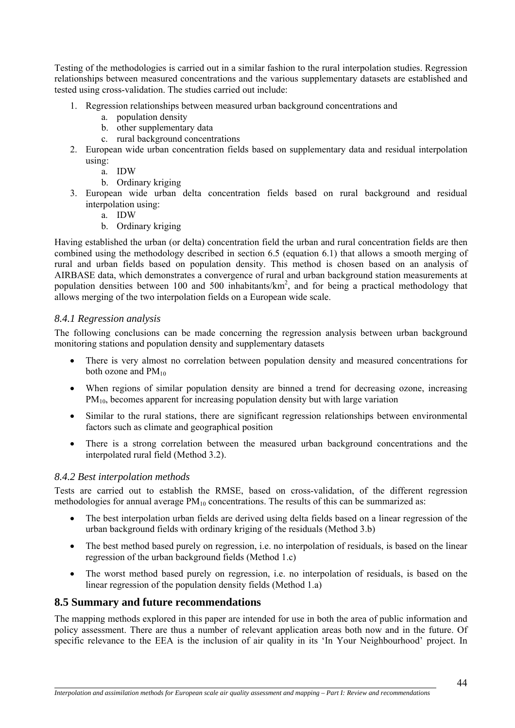<span id="page-43-0"></span>Testing of the methodologies is carried out in a similar fashion to the rural interpolation studies. Regression relationships between measured concentrations and the various supplementary datasets are established and tested using cross-validation. The studies carried out include:

- 1. Regression relationships between measured urban background concentrations and
	- a. population density
	- b. other supplementary data
	- c. rural background concentrations
- 2. European wide urban concentration fields based on supplementary data and residual interpolation using:
	- a. IDW
	- b. Ordinary kriging
- 3. European wide urban delta concentration fields based on rural background and residual interpolation using:
	- a. IDW
	- b. Ordinary kriging

Having established the urban (or delta) concentration field the urban and rural concentration fields are then combined using the methodology described in section 6.5 (equation 6.1) that allows a smooth merging of rural and urban fields based on population density. This method is chosen based on an analysis of AIRBASE data, which demonstrates a convergence of rural and urban background station measurements at population densities between 100 and 500 inhabitants/ $km^2$ , and for being a practical methodology that allows merging of the two interpolation fields on a European wide scale.

#### *8.4.1 Regression analysis*

The following conclusions can be made concerning the regression analysis between urban background monitoring stations and population density and supplementary datasets

- There is very almost no correlation between population density and measured concentrations for both ozone and  $PM_{10}$
- When regions of similar population density are binned a trend for decreasing ozone, increasing  $PM<sub>10</sub>$ , becomes apparent for increasing population density but with large variation
- Similar to the rural stations, there are significant regression relationships between environmental factors such as climate and geographical position
- There is a strong correlation between the measured urban background concentrations and the interpolated rural field (Method 3.2).

#### *8.4.2 Best interpolation methods*

 $\overline{a}$ 

Tests are carried out to establish the RMSE, based on cross-validation, of the different regression methodologies for annual average  $PM_{10}$  concentrations. The results of this can be summarized as:

- The best interpolation urban fields are derived using delta fields based on a linear regression of the urban background fields with ordinary kriging of the residuals (Method 3.b)
- The best method based purely on regression, i.e. no interpolation of residuals, is based on the linear regression of the urban background fields (Method 1.c)
- The worst method based purely on regression, i.e. no interpolation of residuals, is based on the linear regression of the population density fields (Method 1.a)

#### **8.5 Summary and future recommendations**

The mapping methods explored in this paper are intended for use in both the area of public information and policy assessment. There are thus a number of relevant application areas both now and in the future. Of specific relevance to the EEA is the inclusion of air quality in its 'In Your Neighbourhood' project. In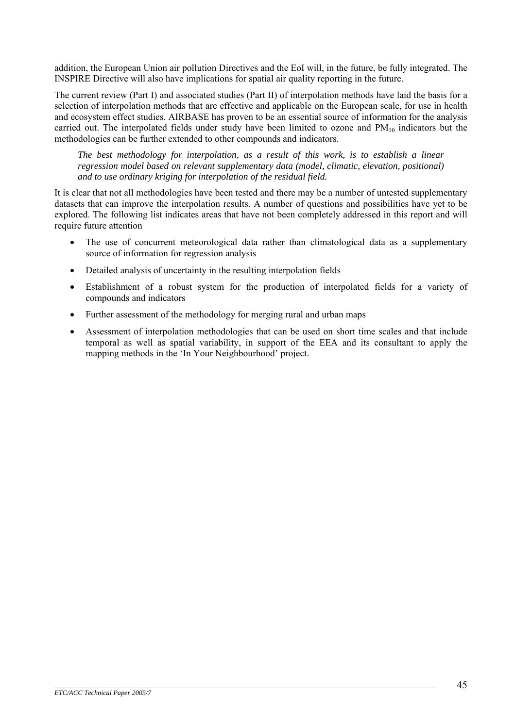addition, the European Union air pollution Directives and the EoI will, in the future, be fully integrated. The INSPIRE Directive will also have implications for spatial air quality reporting in the future.

The current review (Part I) and associated studies (Part II) of interpolation methods have laid the basis for a selection of interpolation methods that are effective and applicable on the European scale, for use in health and ecosystem effect studies. AIRBASE has proven to be an essential source of information for the analysis carried out. The interpolated fields under study have been limited to ozone and  $PM_{10}$  indicators but the methodologies can be further extended to other compounds and indicators.

*The best methodology for interpolation, as a result of this work, is to establish a linear regression model based on relevant supplementary data (model, climatic, elevation, positional) and to use ordinary kriging for interpolation of the residual field.*

It is clear that not all methodologies have been tested and there may be a number of untested supplementary datasets that can improve the interpolation results. A number of questions and possibilities have yet to be explored. The following list indicates areas that have not been completely addressed in this report and will require future attention

- The use of concurrent meteorological data rather than climatological data as a supplementary source of information for regression analysis
- Detailed analysis of uncertainty in the resulting interpolation fields
- Establishment of a robust system for the production of interpolated fields for a variety of compounds and indicators
- Further assessment of the methodology for merging rural and urban maps
- Assessment of interpolation methodologies that can be used on short time scales and that include temporal as well as spatial variability, in support of the EEA and its consultant to apply the mapping methods in the 'In Your Neighbourhood' project.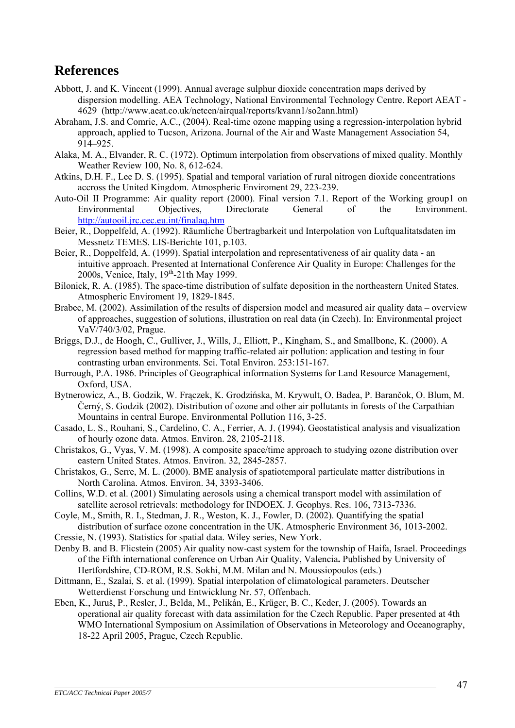# <span id="page-46-0"></span>**References**

- Abbott, J. and K. Vincent (1999). Annual average sulphur dioxide concentration maps derived by dispersion modelling. AEA Technology, National Environmental Technology Centre. Report AEAT - 4629 (http://www.aeat.co.uk/netcen/airqual/reports/kvann1/so2ann.html)
- Abraham, J.S. and Comrie, A.C., (2004). Real-time ozone mapping using a regression-interpolation hybrid approach, applied to Tucson, Arizona. Journal of the Air and Waste Management Association 54, 914–925.
- Alaka, M. A., Elvander, R. C. (1972). Optimum interpolation from observations of mixed quality. Monthly Weather Review 100, No. 8, 612-624.
- Atkins, D.H. F., Lee D. S. (1995). Spatial and temporal variation of rural nitrogen dioxide concentrations accross the United Kingdom. Atmospheric Enviroment 29, 223-239.
- Auto-Oil II Programme: Air quality report (2000). Final version 7.1. Report of the Working group1 on Environmental Objectives, Directorate General of the Environment. <http://autooil.jrc.cec.eu.int/finalaq.htm>
- Beier, R., Doppelfeld, A. (1992). Räumliche Übertragbarkeit und Interpolation von Luftqualitatsdaten im Messnetz TEMES. LIS-Berichte 101, p.103.
- Beier, R., Doppelfeld, A. (1999). Spatial interpolation and representativeness of air quality data an intuitive approach. Presented at International Conference Air Quality in Europe: Challenges for the 2000s, Venice, Italy, 19<sup>th</sup>-21th May 1999.
- Bilonick, R. A. (1985). The space-time distribution of sulfate deposition in the northeastern United States. Atmospheric Enviroment 19, 1829-1845.
- Brabec, M. (2002). Assimilation of the results of dispersion model and measured air quality data overview of approaches, suggestion of solutions, illustration on real data (in Czech). In: Environmental project VaV/740/3/02, Prague.
- Briggs, D.J., de Hoogh, C., Gulliver, J., Wills, J., Elliott, P., Kingham, S., and Smallbone, K. (2000). A regression based method for mapping traffic-related air pollution: application and testing in four contrasting urban environments. Sci. Total Environ. 253:151-167.
- Burrough, P.A. 1986. Principles of Geographical information Systems for Land Resource Management, Oxford, USA.
- Bytnerowicz, A., B. Godzik, W. Frączek, K. Grodzińska, M. Krywult, O. Badea, P. Barančok, O. Blum, M. Černý, S. Godzik (2002). Distribution of ozone and other air pollutants in forests of the Carpathian Mountains in central Europe. Environmental Pollution 116, 3-25.
- Casado, L. S., Rouhani, S., Cardelino, C. A., Ferrier, A. J. (1994). Geostatistical analysis and visualization of hourly ozone data. Atmos. Environ. 28, 2105-2118.
- Christakos, G., Vyas, V. M. (1998). A composite space/time approach to studying ozone distribution over eastern United States. Atmos. Environ. 32, 2845-2857.
- Christakos, G., Serre, M. L. (2000). BME analysis of spatiotemporal particulate matter distributions in North Carolina. Atmos. Environ. 34, 3393-3406.
- Collins, W.D. et al. (2001) Simulating aerosols using a chemical transport model with assimilation of satellite aerosol retrievals: methodology for INDOEX. J. Geophys. Res. 106, 7313-7336.
- Coyle, M., Smith, R. I., Stedman, J. R., Weston, K. J., Fowler, D. (2002). Quantifying the spatial distribution of surface ozone concentration in the UK. Atmospheric Environment 36, 1013-2002.
- Cressie, N. (1993). Statistics for spatial data. Wiley series, New York.
- Denby B. and B. Flicstein (2005) Air quality now-cast system for the township of Haifa, Israel. Proceedings of the Fifth international conference on Urban Air Quality, Valencia**.** Published by University of Hertfordshire, CD-ROM, R.S. Sokhi, M.M. Milan and N. Moussiopoulos (eds.)
- Dittmann, E., Szalai, S. et al. (1999). Spatial interpolation of climatological parameters. Deutscher Wetterdienst Forschung und Entwicklung Nr. 57, Offenbach.
- Eben, K., Juruš, P., Resler, J., Belda, M., Pelikán, E., Krüger, B. C., Keder, J. (2005). Towards an operational air quality forecast with data assimilation for the Czech Republic. Paper presented at 4th WMO International Symposium on Assimilation of Observations in Meteorology and Oceanography, 18-22 April 2005, Prague, Czech Republic.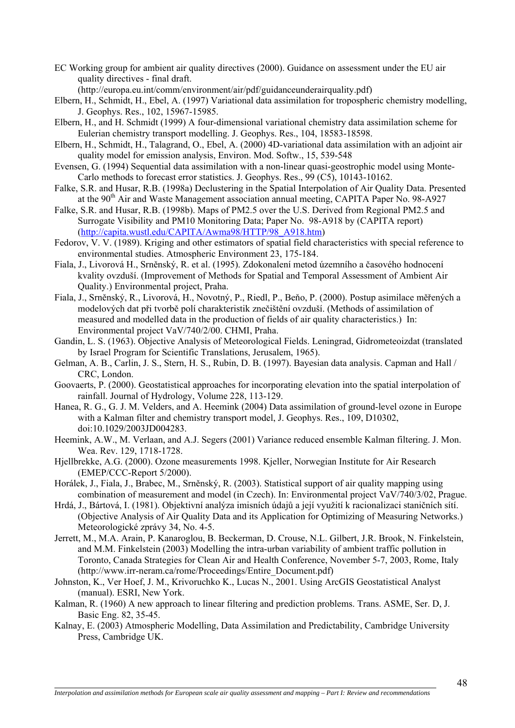- EC Working group for ambient air quality directives (2000). Guidance on assessment under the EU air quality directives - final draft.
- (http://europa.eu.int/comm/environment/air/pdf/guidanceunderairquality.pdf)
- Elbern, H., Schmidt, H., Ebel, A. (1997) Variational data assimilation for tropospheric chemistry modelling, J. Geophys. Res., 102, 15967-15985.
- Elbern, H., and H. Schmidt (1999) A four-dimensional variational chemistry data assimilation scheme for Eulerian chemistry transport modelling. J. Geophys. Res., 104, 18583-18598.
- Elbern, H., Schmidt, H., Talagrand, O., Ebel, A. (2000) 4D-variational data assimilation with an adjoint air quality model for emission analysis, Environ. Mod. Softw., 15, 539-548
- Evensen, G. (1994) Sequential data assimilation with a non-linear quasi-geostrophic model using Monte-Carlo methods to forecast error statistics. J. Geophys. Res., 99 (C5), 10143-10162.
- Falke, S.R. and Husar, R.B. (1998a) Declustering in the Spatial Interpolation of Air Quality Data. Presented at the 90<sup>th</sup> Air and Waste Management association annual meeting, CAPITA Paper No. 98-A927
- Falke, S.R. and Husar, R.B. (1998b). Maps of PM2.5 over the U.S. Derived from Regional PM2.5 and Surrogate Visibility and PM10 Monitoring Data; Paper No. 98-A918 by (CAPITA report) ([http://capita.wustl.edu/CAPITA/Awma98/HTTP/98\\_A918.htm\)](http://capita.wustl.edu/CAPITA/Awma98/HTTP/98_A918.htm)
- Fedorov, V. V. (1989). Kriging and other estimators of spatial field characteristics with special reference to environmental studies. Atmospheric Environment 23, 175-184.
- Fiala, J., Livorová H., Srněnský, R. et al. (1995). Zdokonalení metod územního a časového hodnocení kvality ovzduší. (Improvement of Methods for Spatial and Temporal Assessment of Ambient Air Quality.) Environmental project, Praha.
- Fiala, J., Srněnský, R., Livorová, H., Novotný, P., Riedl, P., Beňo, P. (2000). Postup asimilace měřených a modelových dat při tvorbě polí charakteristik znečištění ovzduší. (Methods of assimilation of measured and modelled data in the production of fields of air quality characteristics.) In: Environmental project VaV/740/2/00. CHMI, Praha.
- Gandin, L. S. (1963). Objective Analysis of Meteorological Fields. Leningrad, Gidrometeoizdat (translated by Israel Program for Scientific Translations, Jerusalem, 1965).
- Gelman, A. B., Carlin, J. S., Stern, H. S., Rubin, D. B. (1997). Bayesian data analysis. Capman and Hall / CRC, London.
- Goovaerts, P. (2000). Geostatistical approaches for incorporating elevation into the spatial interpolation of rainfall. Journal of Hydrology, Volume 228, 113-129.
- Hanea, R. G., G. J. M. Velders, and A. Heemink (2004) Data assimilation of ground-level ozone in Europe with a Kalman filter and chemistry transport model, J. Geophys. Res., 109, D10302, doi:10.1029/2003JD004283.
- Heemink, A.W., M. Verlaan, and A.J. Segers (2001) Variance reduced ensemble Kalman filtering. J. Mon. Wea. Rev. 129, 1718-1728.
- Hjellbrekke, A.G. (2000). Ozone measurements 1998. Kjeller, Norwegian Institute for Air Research (EMEP/CCC-Report 5/2000).
- Horálek, J., Fiala, J., Brabec, M., Srněnský, R. (2003). Statistical support of air quality mapping using combination of measurement and model (in Czech). In: Environmental project VaV/740/3/02, Prague.
- Hrdá, J., Bártová, I. (1981). Objektivní analýza imisních údajů a její využití k racionalizaci staničních sítí. (Objective Analysis of Air Quality Data and its Application for Optimizing of Measuring Networks.) Meteorologické zprávy 34, No. 4-5.
- Jerrett, M., M.A. Arain, P. Kanaroglou, B. Beckerman, D. Crouse, N.L. Gilbert, J.R. Brook, N. Finkelstein, and M.M. Finkelstein (2003) [Modelling the intra-urban variability](http://www.irr-neram.ca/rome/Proceedings/Jerrett.pdf) of ambient traffic pollution in [Toronto, Canada](http://www.irr-neram.ca/rome/Proceedings/Jerrett.pdf) Strategies for Clean Air and Health Conference, November 5-7, 2003, Rome, Italy ([http://www.irr-neram.ca/rome/Proceedings/Entire\\_Document.pdf\)](http://www.irr-neram.ca/rome/Proceedings/Entire_Document.pdf)
- Johnston, K., Ver Hoef, J. M., Krivoruchko K., Lucas N., 2001. Using ArcGIS Geostatistical Analyst (manual). ESRI, New York.
- Kalman, R. (1960) A new approach to linear filtering and prediction problems. Trans. ASME, Ser. D, J. Basic Eng. 82, 35-45.
- Kalnay, E. (2003) Atmospheric Modelling, Data Assimilation and Predictability, Cambridge University Press, Cambridge UK.

 $\overline{a}$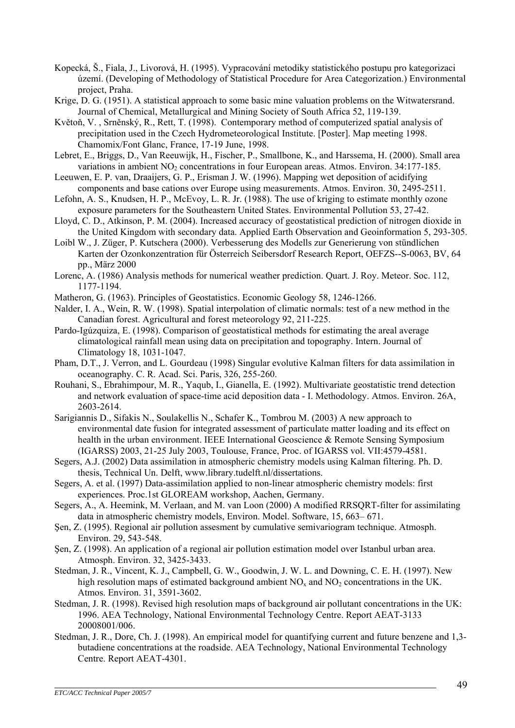- Kopecká, Š., Fiala, J., Livorová, H. (1995). Vypracování metodiky statistického postupu pro kategorizaci území. (Developing of Methodology of Statistical Procedure for Area Categorization.) Environmental project, Praha.
- Krige, D. G. (1951). A statistical approach to some basic mine valuation problems on the Witwatersrand. Journal of Chemical, Metallurgical and Mining Society of South Africa 52, 119-139.
- Květoň, V. , Srněnský, R., Rett, T. (1998). Contemporary method of computerized spatial analysis of precipitation used in the Czech Hydrometeorological Institute. [Poster]. Map meeting 1998. Chamomix/Font Glanc, France, 17-19 June, 1998.
- Lebret, E., Briggs, D., Van Reeuwijk, H., Fischer, P., Smallbone, K., and Harssema, H. (2000). Small area variations in ambient  $NO<sub>2</sub>$  concentrations in four European areas. Atmos. Environ. 34:177-185.
- Leeuwen, E. P. van, Draaijers, G. P., Erisman J. W. (1996). Mapping wet deposition of acidifying components and base cations over Europe using measurements. Atmos. Environ. 30, 2495-2511.
- Lefohn, A. S., Knudsen, H. P., McEvoy, L. R. Jr. (1988). The use of kriging to estimate monthly ozone exposure parameters for the Southeastern United States. Environmental Pollution 53, 27-42.
- Lloyd, C. D., Atkinson, P. M. (2004). Increased accuracy of geostatistical prediction of nitrogen dioxide in the United Kingdom with secondary data. Applied Earth Observation and Geoinformation 5, 293-305.
- Loibl W., J. Züger, P. Kutschera (2000). Verbesserung des Modells zur Generierung von stündlichen Karten der Ozonkonzentration für Österreich Seibersdorf Research Report, OEFZS--S-0063, BV, 64 pp., März 2000
- Lorenc, A. (1986) Analysis methods for numerical weather prediction. Quart. J. Roy. Meteor. Soc. 112, 1177-1194.
- Matheron, G. (1963). Principles of Geostatistics. Economic Geology 58, 1246-1266.
- Nalder, I. A., Wein, R. W. (1998). Spatial interpolation of climatic normals: test of a new method in the Canadian forest. Agricultural and forest meteorology 92, 211-225.
- Pardo-Igúzquiza, E. (1998). Comparison of geostatistical methods for estimating the areal average climatological rainfall mean using data on precipitation and topography. Intern. Journal of Climatology 18, 1031-1047.
- Pham, D.T., J. Verron, and L. Gourdeau (1998) Singular evolutive Kalman filters for data assimilation in oceanography. C. R. Acad. Sci. Paris, 326, 255-260.
- Rouhani, S., Ebrahimpour, M. R., Yaqub, I., Gianella, E. (1992). Multivariate geostatistic trend detection and network evaluation of space-time acid deposition data - I. Methodology. Atmos. Environ. 26A, 2603-2614.
- Sarigiannis D., Sifakis N., Soulakellis N., Schafer K., Tombrou M. (2003) A new approach to environmental date fusion for integrated assessment of particulate matter loading and its effect on health in the urban environment. IEEE International Geoscience & Remote Sensing Symposium (IGARSS) 2003, 21-25 July 2003, Toulouse, France, Proc. of IGARSS vol. VII:4579-4581.
- Segers, A.J. (2002) Data assimilation in atmospheric chemistry models using Kalman filtering. Ph. D. thesis, Technical Un. Delft, [www.library.tudelft.nl/dissertations](http://www.library.tudelft.nl/dissertations).
- Segers, A. et al. (1997) Data-assimilation applied to non-linear atmospheric chemistry models: first experiences. Proc.1st GLOREAM workshop, Aachen, Germany.
- Segers, A., A. Heemink, M. Verlaan, and M. van Loon (2000) A modified RRSQRT-filter for assimilating data in atmospheric chemistry models, Environ. Model. Software, 15, 663– 671.
- Şen, Z. (1995). Regional air pollution assesment by cumulative semivariogram technique. Atmosph. Environ. 29, 543-548.
- Şen, Z. (1998). An application of a regional air pollution estimation model over Istanbul urban area. Atmosph. Environ. 32, 3425-3433.
- Stedman, J. R., Vincent, K. J., Campbell, G. W., Goodwin, J. W. L. and Downing, C. E. H. (1997). New high resolution maps of estimated background ambient  $NO<sub>x</sub>$  and  $NO<sub>2</sub>$  concentrations in the UK. Atmos. Environ. 31, 3591-3602.
- Stedman, J. R. (1998). Revised high resolution maps of background air pollutant concentrations in the UK: 1996. AEA Technology, National Environmental Technology Centre. Report AEAT-3133 20008001/006.
- Stedman, J. R., Dore, Ch. J. (1998). An empirical model for quantifying current and future benzene and 1,3 butadiene concentrations at the roadside. AEA Technology, National Environmental Technology Centre. Report AEAT-4301.